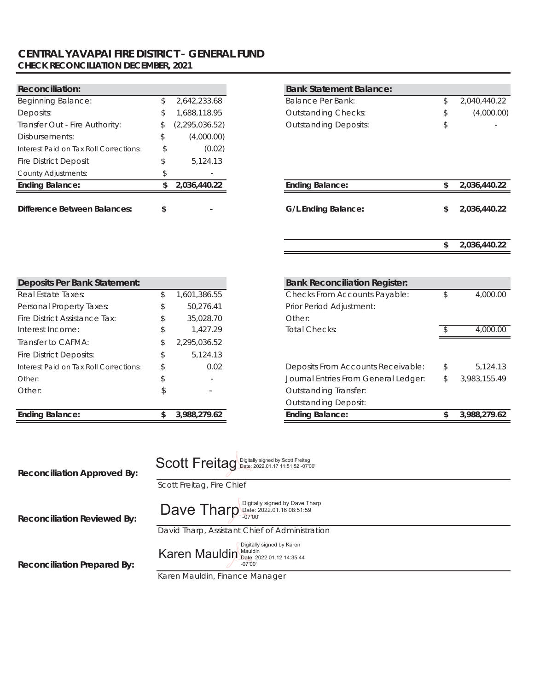### **CENTRAL YAVAPAI FIRE DISTRICT - GENERAL FUND CHECK RECONCILIATION DECEMBER, 2021**

| <b>Reconciliation:</b>                 |    |                                            | <b>Bank Statement Balance:</b> |    |            |
|----------------------------------------|----|--------------------------------------------|--------------------------------|----|------------|
| <b>Beginning Balance:</b>              | \$ | 2,642,233.68                               | Balance Per Bank:              | S. | 2,040,440. |
| Deposits:                              | S. | 1,688,118.95<br><b>Outstanding Checks:</b> |                                |    | (4,000.    |
| Transfer Out - Fire Authority:         | S. | (2, 295, 036.52)                           | <b>Outstanding Deposits:</b>   | \$ |            |
| Disbursements:                         | \$ | (4,000.00)                                 |                                |    |            |
| Interest Paid on Tax Roll Corrections: | \$ | (0.02)                                     |                                |    |            |
| <b>Fire District Deposit</b>           | \$ | 5.124.13                                   |                                |    |            |
| <b>County Adjustments:</b>             |    |                                            |                                |    |            |
| <b>Ending Balance:</b>                 | S  | 2,036,440.22                               | <b>Ending Balance:</b>         | \$ | 2.036.440. |
|                                        |    |                                            |                                |    |            |
| <b>Difference Between Balances:</b>    | \$ |                                            | G/L Ending Balance:            |    | 2,036,440. |

| <b>Reconciliation:</b>                 |                  | <b>Bank Statement Balance:</b> |              |
|----------------------------------------|------------------|--------------------------------|--------------|
| Beginning Balance:                     | 2,642,233.68     | Balance Per Bank:              | 2,040,440.22 |
| Deposits:                              | 688,118.95       | <b>Outstanding Checks:</b>     | (4,000.00)   |
| Transfer Out - Fire Authority:         | (2, 295, 036.52) | <b>Outstanding Deposits:</b>   |              |
| Disbursements:                         | (4,000.00)       |                                |              |
| Interest Paid on Tax Roll Corrections: | (0.02)           |                                |              |
| <b>Fire District Deposit</b>           | 5,124.13         |                                |              |
| County Adjustments:                    | $\sim$           |                                |              |

| <b>Ending Balance:</b>       | 2,036,440.22             | <b>Ending Balance:</b> | 2,036,440.22 |
|------------------------------|--------------------------|------------------------|--------------|
| Difference Between Balances: | $\overline{\phantom{0}}$ | G/L Ending Balance:    | 2,036,440.22 |
|                              |                          |                        | 2,036,440.22 |

| Deposits Per Bank Statement:           |    |              | <b>Bank Reconciliation Register:</b> |
|----------------------------------------|----|--------------|--------------------------------------|
| Real Estate Taxes:                     | \$ | 1,601,386.55 | <b>Checks From Accounts Payable</b>  |
| Personal Property Taxes:               | \$ | 50,276.41    | Prior Period Adjustment:             |
| Fire District Assistance Tax:          |    | 35,028.70    | Other:                               |
| Interest Income:                       |    | 1,427.29     | Total Checks:                        |
| Transfer to CAFMA:                     | S  | 2,295,036.52 |                                      |
| <b>Fire District Deposits:</b>         | \$ | 5,124.13     |                                      |
| Interest Paid on Tax Roll Corrections: |    | 0.02         | Deposits From Accounts Receiva       |
| Other:                                 |    |              | Journal Entries From General Leo     |
| Other:                                 |    |              | <b>Outstanding Transfer:</b>         |
|                                        |    |              | <b>Outstanding Deposit:</b>          |
| <b>Ending Balance:</b>                 |    | 3,988,279.62 | <b>Ending Balance:</b>               |

| Deposits Per Bank Statement:           |     |              | <b>Bank Reconciliation Register:</b> |     |              |
|----------------------------------------|-----|--------------|--------------------------------------|-----|--------------|
| Real Estate Taxes:                     | \$. | ,601,386.55  | Checks From Accounts Payable:        |     | 4,000.00     |
| Personal Property Taxes:               | S.  | 50.276.41    | Prior Period Adjustment:             |     |              |
| Fire District Assistance Tax:          |     | 35,028.70    | Other:                               |     |              |
| Interest Income:                       | S   | 1.427.29     | Total Checks:                        |     | 4,000.00     |
| Transfer to CAFMA:                     |     | 2,295,036.52 |                                      |     |              |
| Fire District Deposits:                |     | 5.124.13     |                                      |     |              |
| Interest Paid on Tax Roll Corrections: | \$  | 0.02         | Deposits From Accounts Receivable:   | \$  | 5,124.13     |
| Other:                                 |     |              | Journal Entries From General Ledger: | S.  | 3,983,155.49 |
| Other:                                 | S   |              | <b>Outstanding Transfer:</b>         |     |              |
|                                        |     |              | <b>Outstanding Deposit:</b>          |     |              |
| <b>Ending Balance:</b>                 |     | 3,988,279.62 | <b>Ending Balance:</b>               | \$. | 3,988,279.62 |
|                                        |     |              |                                      |     |              |

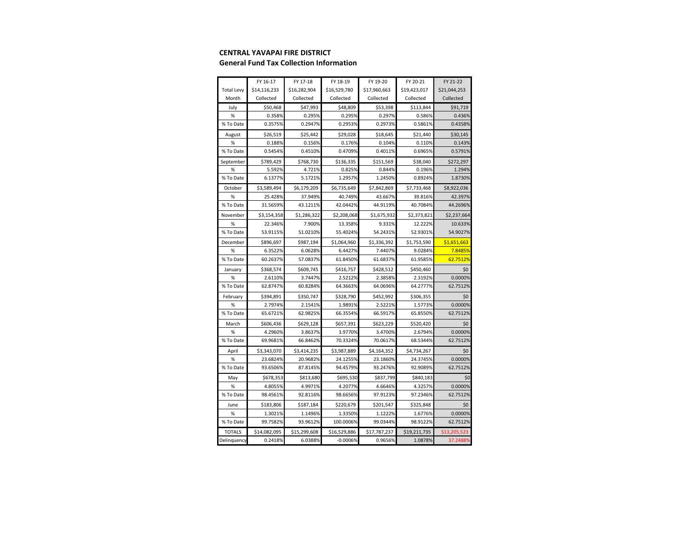#### **CENTRAL YAVAPAI FIRE DISTRICT**

#### **General Fund Tax Collection Information**

|                   | FY 16-17     | FY 17-18     | FY 18-19     | FY 19-20     | FY 20-21     | FY 21-22     |
|-------------------|--------------|--------------|--------------|--------------|--------------|--------------|
| <b>Total Levy</b> | \$14,116,233 | \$16,282,904 | \$16,529,780 | \$17,960,663 | \$19,423,017 | \$21,044,253 |
| Month             | Collected    | Collected    | Collected    | Collected    | Collected    | Collected    |
| July              | \$50,468     | \$47,993     | \$48,809     | \$53,398     | \$113,844    | \$91,719     |
| $\%$              | 0.358%       | 0.295%       | 0.295%       | 0.297%       | 0.586%       | 0.436%       |
| % To Date         | 0.3575%      | 0.2947%      | 0.2953%      | 0.2973%      | 0.5861%      | 0.4358%      |
| August            | \$26,519     | \$25,442     | \$29,028     | \$18,645     | \$21,440     | \$30,145     |
| $\%$              | 0.188%       | 0.156%       | 0.176%       | 0.104%       | 0.110%       | 0.143%       |
| % To Date         | 0.5454%      | 0.4510%      | 0.4709%      | 0.4011%      | 0.6965%      | 0.5791%      |
| September         | \$789,429    | \$768,730    | \$136,335    | \$151,569    | \$38,040     | \$272,297    |
| %                 | 5.592%       | 4.721%       | 0.825%       | 0.844%       | 0.196%       | 1.294%       |
| % To Date         | 6.1377%      | 5.1721%      | 1.2957%      | 1.2450%      | 0.8924%      | 1.8730%      |
| October           | \$3,589,494  | \$6,179,209  | \$6,735,649  | \$7,842,869  | \$7,733,468  | \$8,922,036  |
| %                 | 25.428%      | 37.949%      | 40.749%      | 43.667%      | 39.816%      | 42.397%      |
| % To Date         | 31.5659%     | 43.1211%     | 42.0442%     | 44.9119%     | 40.7084%     | 44.2696%     |
| November          | \$3,154,358  | \$1,286,322  | \$2,208,068  | \$1,675,932  | \$2,373,821  | \$2,237,664  |
| %                 | 22.346%      | 7.900%       | 13.358%      | 9.331%       | 12.222%      | 10.633%      |
| % To Date         | 53.9115%     | 51.0210%     | 55.4024%     | 54.2431%     | 52.9301%     | 54.9027%     |
| December          | \$896,697    | \$987,194    | \$1,064,960  | \$1,336,392  | \$1,753,590  | \$1,651,663  |
| %                 | 6.3522%      | 6.0628%      | 6.4427%      | 7.4407%      | 9.0284%      | 7.8485%      |
| % To Date         | 60.2637%     | 57.0837%     | 61.8450%     | 61.6837%     | 61.9585%     | 62.7512%     |
| January           | \$368,574    | \$609,745    | \$416,757    | \$428,512    | \$450,460    | \$0          |
| %                 | 2.6110%      | 3.7447%      | 2.5212%      | 2.3858%      | 2.3192%      | 0.0000%      |
| % To Date         | 62.8747%     | 60.8284%     | 64.3663%     | 64.0696%     | 64.2777%     | 62.7512%     |
| February          | \$394,891    | \$350,747    | \$328,790    | \$452,992    | \$306,355    | \$0          |
| %                 | 2.7974%      | 2.1541%      | 1.9891%      | 2.5221%      | 1.5773%      | 0.0000%      |
| % To Date         | 65.6721%     | 62.9825%     | 66.3554%     | 66.5917%     | 65.8550%     | 62.7512%     |
| March             | \$606,436    | \$629,128    | \$657,391    | \$623,229    | \$520,420    | \$0          |
| %                 | 4.2960%      | 3.8637%      | 3.9770%      | 3.4700%      | 2.6794%      | 0.0000%      |
| % To Date         | 69.9681%     | 66.8462%     | 70.3324%     | 70.0617%     | 68.5344%     | 62.7512%     |
| April             | \$3,343,070  | \$3,414,235  | \$3,987,889  | \$4,164,352  | \$4,734,267  | \$0          |
| %                 | 23.6824%     | 20.9682%     | 24.1255%     | 23.1860%     | 24.3745%     | 0.0000%      |
| % To Date         | 93.6506%     | 87.8145%     | 94.4579%     | 93.2476%     | 92.9089%     | 62.7512%     |
| May               | \$678,353    | \$813,680    | \$695,530    | \$837,799    | \$840,183    | \$0          |
| %                 | 4.8055%      | 4.9971%      | 4.2077%      | 4.6646%      | 4.3257%      | 0.0000%      |
| % To Date         | 98.4561%     | 92.8116%     | 98.6656%     | 97.9123%     | 97.2346%     | 62.7512%     |
| June              | \$183,806    | \$187,184    | \$220,679    | \$201,547    | \$325,848    | \$0          |
| %                 | 1.3021%      | 1.1496%      | 1.3350%      | 1.1222%      | 1.6776%      | 0.0000%      |
| % To Date         | 99.7582%     | 93.9612%     | 100.0006%    | 99.0344%     | 98.9122%     | 62.7512%     |
| <b>TOTALS</b>     | \$14,082,095 | \$15,299,608 | \$16,529,886 | \$17,787,237 | \$19,211,735 | \$13,205,523 |
| Delinquency       | 0.2418%      | 6.0388%      | $-0.0006%$   | 0.9656%      | 1.0878%      | 37.2488%     |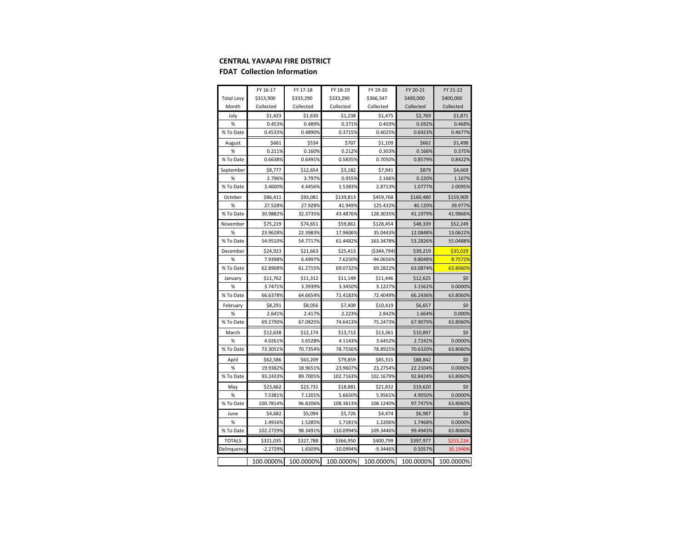#### **CENTRAL YAVAPAI FIRE DISTRICT**

#### **FDAT Collection Information**

|                   | FY 16-17   | FY 17-18  | FY 18-19    | FY 19-20      | FY 20-21  | FY 21-22  |
|-------------------|------------|-----------|-------------|---------------|-----------|-----------|
| <b>Total Levy</b> | \$313,900  | \$333,290 | \$333,290   | \$366,547     | \$400,000 | \$400,000 |
| Month             | Collected  | Collected | Collected   | Collected     | Collected | Collected |
| July              | \$1,423    | \$1,630   | \$1,238     | \$1,475       | \$2,769   | \$1,871   |
| %                 | 0.453%     | 0.489%    | 0.371%      | 0.403%        | 0.692%    | 0.468%    |
| % To Date         | 0.4533%    | 0.4890%   | 0.3715%     | 0.4025%       | 0.6923%   | 0.4677%   |
| August            | \$661      | \$534     | \$707       | \$1,109       | \$662     | \$1,498   |
| %                 | 0.211%     | 0.160%    | 0.212%      | 0.303%        | 0.166%    | 0.375%    |
| % To Date         | 0.6638%    | 0.6491%   | 0.5835%     | 0.7050%       | 0.8579%   | 0.8422%   |
| September         | \$8,777    | \$12,654  | \$3,182     | \$7,941       | \$879     | \$4,669   |
| %                 | 2.796%     | 3.797%    | 0.955%      | 2.166%        | 0.220%    | 1.167%    |
| % To Date         | 3.4600%    | 4.4456%   | 1.5383%     | 2.8713%       | 1.0777%   | 2.0095%   |
| October           | \$86,411   | \$93,081  | \$139,813   | \$459,768     | \$160,480 | \$159,909 |
| %                 | 27.528%    | 27.928%   | 41.949%     | 125.432%      | 40.120%   | 39.977%   |
| % To Date         | 30.9882%   | 32.3735%  | 43.4876%    | 128.3035%     | 41.1979%  | 41.9866%  |
| November          | \$75,219   | \$74,651  | \$59,861    | \$128,454     | \$48,339  | \$52,249  |
| %                 | 23.9628%   | 22.3983%  | 17.9606%    | 35.0443%      | 12.0848%  | 13.0622%  |
| % To Date         | 54.9510%   | 54.7717%  | 61.4482%    | 163.3478%     | 53.2826%  | 55.0488%  |
| December          | \$24,923   | \$21,663  | \$25,413    | ( \$344, 794] | \$39,219  | \$35,029  |
| %                 | 7.9398%    | 6.4997%   | 7.6250%     | -94.0656%     | 9.8048%   | 8.7572%   |
| % To Date         | 62.8908%   | 61.2715%  | 69.0732%    | 69.2822%      | 63.0874%  | 63.8060%  |
| January           | \$11,762   | \$11,312  | \$11,149    | \$11,446      | \$12,625  | \$0       |
| %                 | 3.7471%    | 3.3939%   | 3.3450%     | 3.1227%       | 3.1562%   | 0.0000%   |
| % To Date         | 66.6378%   | 64.6654%  | 72.4183%    | 72.4049%      | 66.2436%  | 63.8060%  |
| February          | \$8,291    | \$8,056   | \$7,409     | \$10,419      | \$6,657   | \$0       |
| %                 | 2.641%     | 2.417%    | 2.223%      | 2.842%        | 1.664%    | 0.000%    |
| % To Date         | 69.2790%   | 67.0825%  | 74.6413%    | 75.2473%      | 67.9079%  | 63.8060%  |
| March             | \$12,638   | \$12,174  | \$13,713    | \$13,361      | \$10,897  | \$0       |
| %                 | 4.0261%    | 3.6528%   | 4.1143%     | 3.6452%       | 2.7242%   | 0.0000%   |
| % To Date         | 73.3051%   | 70.7354%  | 78.7556%    | 78.8925%      | 70.6320%  | 63.8060%  |
| April             | \$62,586   | \$63,209  | \$79,859    | \$85,315      | \$88,842  | \$0       |
| %                 | 19.9382%   | 18.9651%  | 23.9607%    | 23.2754%      | 22.2104%  | 0.0000%   |
| % To Date         | 93.2433%   | 89.7005%  | 102.7163%   | 102.1679%     | 92.8424%  | 63.8060%  |
| May               | \$23,662   | \$23,731  | \$18,881    | \$21,832      | \$19,620  | \$0       |
| %                 | 7.5381%    | 7.1201%   | 5.6650%     | 5.9561%       | 4.9050%   | 0.0000%   |
| % To Date         | 100.7814%  | 96.8206%  | 108.3813%   | 108.1240%     | 97.7475%  | 63.8060%  |
| June              | \$4,682    | \$5,094   | \$5,726     | \$4,474       | \$6,987   | \$0       |
| %                 | 1.4916%    | 1.5285%   | 1.7181%     | 1.2206%       | 1.7468%   | 0.0000%   |
| % To Date         | 102.2729%  | 98.3491%  | 110.0994%   | 109.3446%     | 99.4943%  | 63.8060%  |
| <b>TOTALS</b>     | \$321,035  | \$327,788 | \$366,950   | \$400,799     | \$397,977 | \$255,224 |
| Delinquency       | $-2.2729%$ | 1.6509%   | $-10.0994%$ | $-9.3446%$    | 0.5057%   | 36.1940%  |
|                   | 100.0000%  | 100.0000% | 100.0000%   | 100.0000%     | 100.0000% | 100.0000% |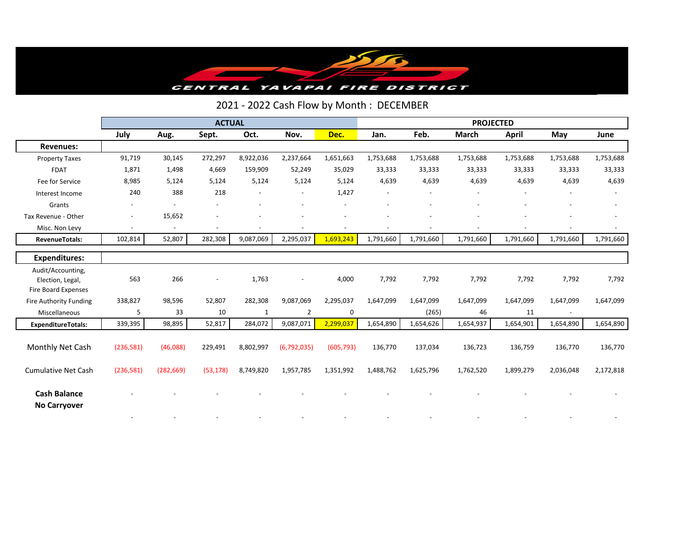

### 2021 - 2022 Cash Flow by Month : DECEMBER

|                                            | <b>ACTUAL</b>            |                |                          |           |                          |                | <b>PROJECTED</b>         |           |              |           |                          |           |
|--------------------------------------------|--------------------------|----------------|--------------------------|-----------|--------------------------|----------------|--------------------------|-----------|--------------|-----------|--------------------------|-----------|
|                                            | July                     | Aug.           | Sept.                    | Oct.      | Nov.                     | Dec.           | Jan.                     | Feb.      | <b>March</b> | April     | May                      | June      |
| <b>Revenues:</b>                           |                          |                |                          |           |                          |                |                          |           |              |           |                          |           |
| <b>Property Taxes</b>                      | 91,719                   | 30,145         | 272,297                  | 8,922,036 | 2,237,664                | 1,651,663      | 1,753,688                | 1,753,688 | 1,753,688    | 1,753,688 | 1,753,688                | 1,753,688 |
| <b>FDAT</b>                                | 1,871                    | 1,498          | 4,669                    | 159,909   | 52,249                   | 35,029         | 33,333                   | 33,333    | 33,333       | 33,333    | 33,333                   | 33,333    |
| Fee for Service                            | 8,985                    | 5,124          | 5,124                    | 5,124     | 5,124                    | 5,124          | 4,639                    | 4,639     | 4,639        | 4,639     | 4,639                    | 4,639     |
| Interest Income                            | 240                      | 388            | 218                      |           | $\overline{\phantom{a}}$ | 1,427          | $\overline{\phantom{a}}$ |           |              |           |                          |           |
| Grants                                     |                          |                |                          |           |                          |                |                          |           |              |           |                          |           |
| Tax Revenue - Other                        | $\overline{\phantom{a}}$ | 15,652         |                          |           |                          |                |                          |           |              |           |                          |           |
| Misc. Non Levy                             | $\overline{\phantom{a}}$ | $\overline{a}$ | $\overline{\phantom{a}}$ |           |                          | $\overline{a}$ |                          |           |              |           |                          |           |
| <b>RevenueTotals:</b>                      | 102,814                  | 52,807         | 282,308                  | 9,087,069 | 2,295,037                | 1,693,243      | 1,791,660                | 1,791,660 | 1,791,660    | 1,791,660 | 1,791,660                | 1,791,660 |
| <b>Expenditures:</b>                       |                          |                |                          |           |                          |                |                          |           |              |           |                          |           |
| Audit/Accounting,                          |                          |                |                          |           |                          |                |                          |           |              |           |                          |           |
| Election, Legal,                           | 563                      | 266            | $\overline{\phantom{a}}$ | 1,763     |                          | 4,000          | 7,792                    | 7,792     | 7,792        | 7,792     | 7,792                    | 7,792     |
| Fire Board Expenses                        |                          |                |                          |           |                          |                |                          |           |              |           |                          |           |
| Fire Authority Funding                     | 338,827                  | 98,596         | 52,807                   | 282,308   | 9,087,069                | 2,295,037      | 1,647,099                | 1,647,099 | 1,647,099    | 1,647,099 | 1,647,099                | 1,647,099 |
| Miscellaneous                              | 5                        | 33             | 10                       | 1         | 2                        | 0              |                          | (265)     | 46           | 11        | $\overline{\phantom{a}}$ |           |
| <b>ExpenditureTotals:</b>                  | 339,395                  | 98,895         | 52,817                   | 284,072   | 9,087,071                | 2,299,037      | 1,654,890                | 1,654,626 | 1,654,937    | 1,654,901 | 1,654,890                | 1,654,890 |
|                                            |                          |                |                          |           |                          |                |                          |           |              |           |                          |           |
| Monthly Net Cash                           | (236, 581)               | (46,088)       | 229,491                  | 8,802,997 | (6, 792, 035)            | (605, 793)     | 136,770                  | 137,034   | 136,723      | 136,759   | 136,770                  | 136,770   |
| <b>Cumulative Net Cash</b>                 | (236,581)                | (282, 669)     | (53, 178)                | 8,749,820 | 1,957,785                | 1,351,992      | 1,488,762                | 1,625,796 | 1,762,520    | 1,899,279 | 2,036,048                | 2,172,818 |
| <b>Cash Balance</b><br><b>No Carryover</b> |                          |                |                          |           |                          |                |                          |           |              |           |                          |           |
|                                            |                          |                |                          |           |                          |                |                          |           |              |           |                          |           |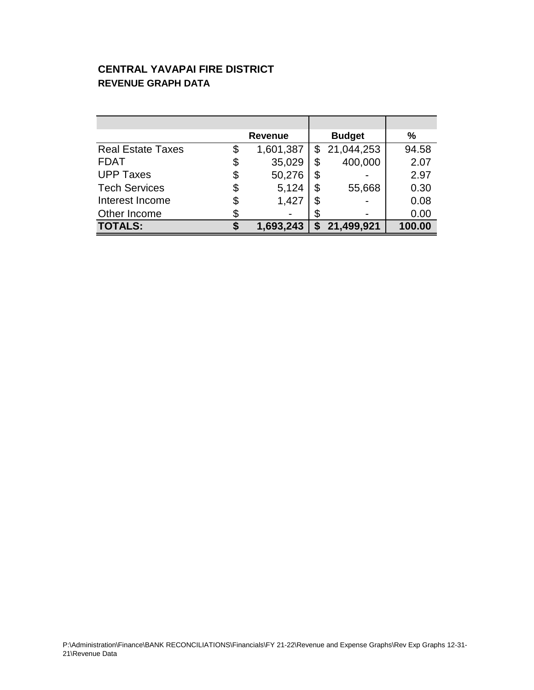### **CENTRAL YAVAPAI FIRE DISTRICT REVENUE GRAPH DATA**

|                          | <b>Revenue</b>  |    | <b>Budget</b> | %      |
|--------------------------|-----------------|----|---------------|--------|
| <b>Real Estate Taxes</b> | \$<br>1,601,387 | \$ | 21,044,253    | 94.58  |
| <b>FDAT</b>              | \$<br>35,029    | \$ | 400,000       | 2.07   |
| <b>UPP Taxes</b>         | \$<br>50,276    | \$ |               | 2.97   |
| <b>Tech Services</b>     | \$<br>5,124     | \$ | 55,668        | 0.30   |
| Interest Income          | \$<br>1,427     | \$ |               | 0.08   |
| Other Income             |                 | \$ |               | 0.00   |
| <b>TOTALS:</b>           | 1,693,243       | S  | 21,499,921    | 100.00 |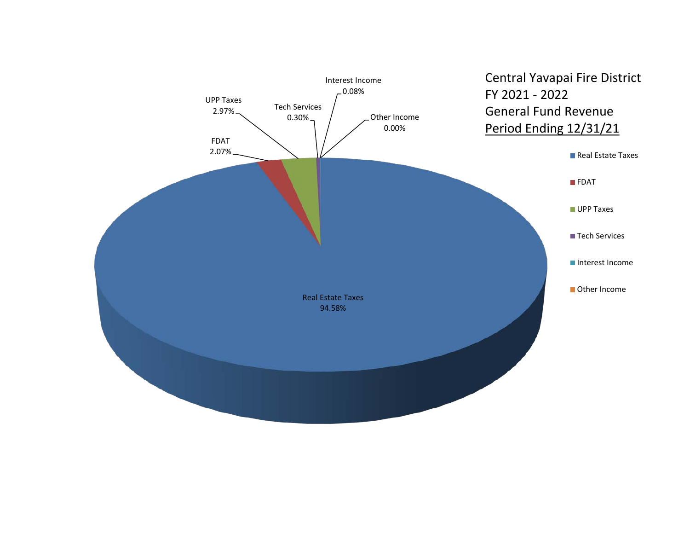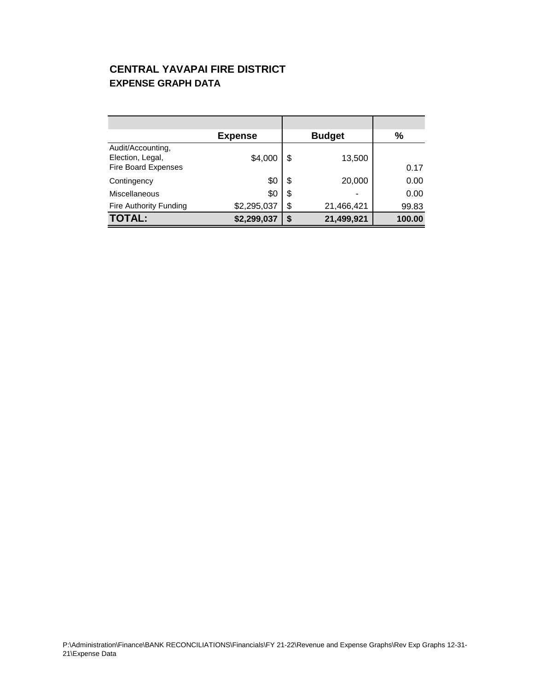### **CENTRAL YAVAPAI FIRE DISTRICT EXPENSE GRAPH DATA**

|                                                                     | <b>Expense</b> | <b>Budget</b>    | $\frac{0}{0}$ |
|---------------------------------------------------------------------|----------------|------------------|---------------|
| Audit/Accounting,<br>Election, Legal,<br><b>Fire Board Expenses</b> | \$4,000        | \$<br>13,500     | 0.17          |
| Contingency                                                         | \$0            | \$<br>20,000     | 0.00          |
| <b>Miscellaneous</b>                                                | \$0            | \$<br>٠          | 0.00          |
| <b>Fire Authority Funding</b>                                       | \$2,295,037    | \$<br>21,466,421 | 99.83         |
| <b>TOTAL:</b>                                                       | \$2,299,037    | \$<br>21,499,921 | 100.00        |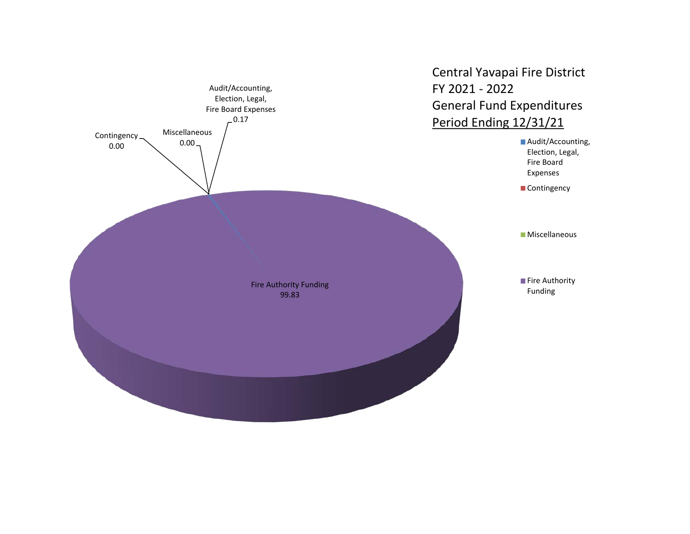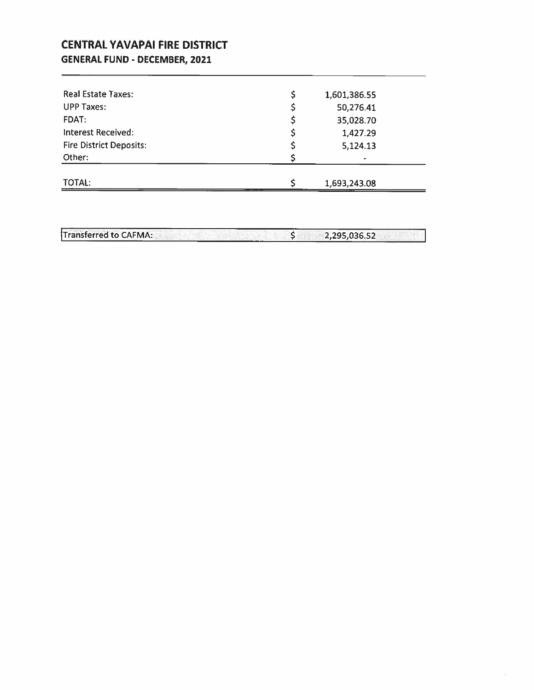### **CENTRAL YAVAPAI FIRE DISTRICT GENERAL FUND - DECEMBER, 2021**

| 1,427.29<br>5,124.13<br>۰ |
|---------------------------|
|                           |
|                           |
|                           |
| 35,028.70                 |
| 50,276.41                 |
| 1,601,386.55              |
|                           |

Transferred to CAFMA:  $\overline{\xi}$ 2,295,036.52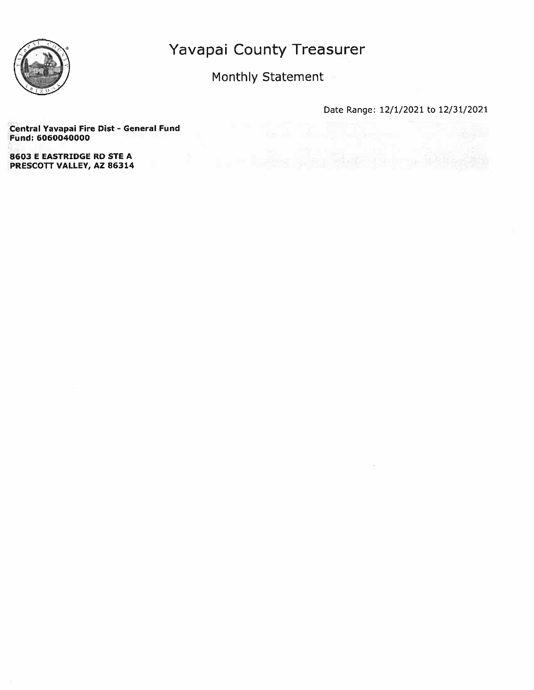

Monthly Statement

Date Range: 12/1/2021 to 12/31/2021

 $\leq$ 

Central Yavapai Fire Dist - General Fund Fund: 6060040000

**8603 E EASTRIDGE RD STE A** PRESCOTT VALLEY, AZ 86314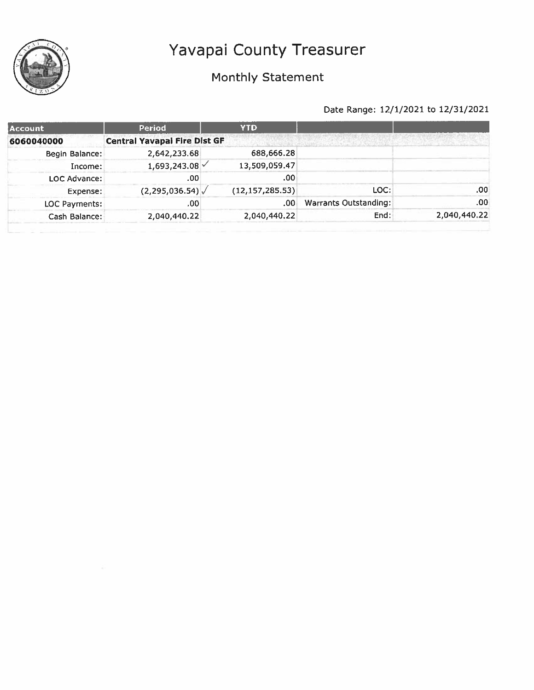

## Monthly Statement

| <b>Account</b> | Period                              | <b>YTD</b>        |                       |              |
|----------------|-------------------------------------|-------------------|-----------------------|--------------|
| 6060040000     | <b>Central Yavapai Fire Dist GF</b> |                   |                       |              |
| Begin Balance: | 2,642,233.68                        | 688,666.28        |                       |              |
| Income:        | 1,693,243.08                        | 13,509,059.47     |                       |              |
| LOC Advance:   | .00                                 | .00               |                       |              |
| Expense:       | (2, 295, 036.54)                    | (12, 157, 285.53) | LOC:                  | .00          |
| LOC Payments:  | .00                                 | .00               | Warrants Outstanding: | .00          |
| Cash Balance:  | 2,040,440.22                        | 2,040,440.22      | End:                  | 2,040,440.22 |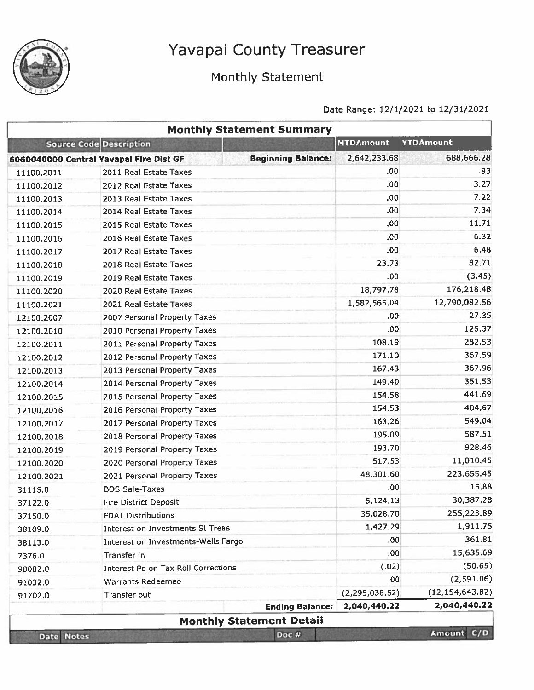

## Monthly Statement

|                   |                                            | <b>Monthly Statement Summary</b>                                                                                                                                                                                                                                                                                                                                                                                                       |                  |                  |
|-------------------|--------------------------------------------|----------------------------------------------------------------------------------------------------------------------------------------------------------------------------------------------------------------------------------------------------------------------------------------------------------------------------------------------------------------------------------------------------------------------------------------|------------------|------------------|
|                   | Source Code Description                    |                                                                                                                                                                                                                                                                                                                                                                                                                                        | <b>MTDAmount</b> | <b>YTDAmount</b> |
|                   | 6060040000 Central Yavapai Fire Dist GF    | <b>Beginning Balance:</b>                                                                                                                                                                                                                                                                                                                                                                                                              | 2,642,233.68     | 688,666.28       |
| 11100.2011        | 2011 Real Estate Taxes                     |                                                                                                                                                                                                                                                                                                                                                                                                                                        | .00              | .93              |
| 11100.2012        | 2012 Real Estate Taxes                     |                                                                                                                                                                                                                                                                                                                                                                                                                                        | .00              | 3.27             |
| 11100.2013        | 2013 Real Estate Taxes                     |                                                                                                                                                                                                                                                                                                                                                                                                                                        | .00.             | 7.22             |
| 11100.2014        | 2014 Real Estate Taxes                     |                                                                                                                                                                                                                                                                                                                                                                                                                                        | .00              | 7.34             |
| 11100.2015        | 2015 Real Estate Taxes                     |                                                                                                                                                                                                                                                                                                                                                                                                                                        | .00              | 11.71            |
| 11100.2016        | 2016 Real Estate Taxes                     |                                                                                                                                                                                                                                                                                                                                                                                                                                        | .00              | 6.32             |
| 11100.2017        | 2017 Real Estate Taxes                     |                                                                                                                                                                                                                                                                                                                                                                                                                                        | .00              |                  |
| 11100.2018        | 2018 Real Estate Taxes                     |                                                                                                                                                                                                                                                                                                                                                                                                                                        | 23.73            |                  |
| 11100.2019        | 2019 Real Estate Taxes                     |                                                                                                                                                                                                                                                                                                                                                                                                                                        | .00              |                  |
| 11100.2020        | 2020 Real Estate Taxes                     |                                                                                                                                                                                                                                                                                                                                                                                                                                        | 18,797.78        |                  |
| 11100.2021        | 2021 Real Estate Taxes                     |                                                                                                                                                                                                                                                                                                                                                                                                                                        | 1,582,565.04     |                  |
| 12100.2007        | 2007 Personal Property Taxes               |                                                                                                                                                                                                                                                                                                                                                                                                                                        | .00              |                  |
| 12100.2010        | 2010 Personal Property Taxes               |                                                                                                                                                                                                                                                                                                                                                                                                                                        | .00              |                  |
| 12100.2011        | 2011 Personal Property Taxes               |                                                                                                                                                                                                                                                                                                                                                                                                                                        | 108.19           |                  |
| 12100.2012        | 2012 Personal Property Taxes               |                                                                                                                                                                                                                                                                                                                                                                                                                                        | 171.10           |                  |
| 12100.2013        | 2013 Personal Property Taxes               |                                                                                                                                                                                                                                                                                                                                                                                                                                        | 167.43           |                  |
| 12100.2014        | 2014 Personal Property Taxes               |                                                                                                                                                                                                                                                                                                                                                                                                                                        | 149,40           |                  |
| 12100.2015        | 2015 Personal Property Taxes               |                                                                                                                                                                                                                                                                                                                                                                                                                                        | 154.58           |                  |
| 12100.2016        | 2016 Personal Property Taxes               |                                                                                                                                                                                                                                                                                                                                                                                                                                        | 154.53           |                  |
| 12100.2017        | 2017 Personal Property Taxes               |                                                                                                                                                                                                                                                                                                                                                                                                                                        | 163.26           |                  |
| 12100.2018        | 2018 Personal Property Taxes               |                                                                                                                                                                                                                                                                                                                                                                                                                                        | 195.09           |                  |
| 12100.2019        | 2019 Personal Property Taxes               |                                                                                                                                                                                                                                                                                                                                                                                                                                        | 193.70           |                  |
| 12100.2020        | 2020 Personal Property Taxes               |                                                                                                                                                                                                                                                                                                                                                                                                                                        | 517.53           |                  |
| 12100.2021        | 2021 Personal Property Taxes               |                                                                                                                                                                                                                                                                                                                                                                                                                                        | 48,301.60        |                  |
| 31115.0           | <b>BOS Sale-Taxes</b>                      |                                                                                                                                                                                                                                                                                                                                                                                                                                        | .00 <sub>1</sub> |                  |
| 37122.0           | <b>Fire District Deposit</b>               |                                                                                                                                                                                                                                                                                                                                                                                                                                        | 5,124.13         |                  |
| 37150.0           | <b>FDAT Distributions</b>                  |                                                                                                                                                                                                                                                                                                                                                                                                                                        | 35,028.70        |                  |
| 38109.0           | <b>Interest on Investments St Treas</b>    |                                                                                                                                                                                                                                                                                                                                                                                                                                        | 1,427.29         |                  |
| 38113.0           |                                            |                                                                                                                                                                                                                                                                                                                                                                                                                                        | .00 <sub>1</sub> |                  |
| 7376.0            | Transfer in                                |                                                                                                                                                                                                                                                                                                                                                                                                                                        | .00              |                  |
| 90002.0           | <b>Interest Pd on Tax Roll Corrections</b> |                                                                                                                                                                                                                                                                                                                                                                                                                                        | (.02)            |                  |
| 91032.0           | <b>Warrants Redeemed</b>                   |                                                                                                                                                                                                                                                                                                                                                                                                                                        | .00 <sub>1</sub> |                  |
| 91702.0           | Transfer out                               |                                                                                                                                                                                                                                                                                                                                                                                                                                        | (2, 295, 036.52) |                  |
|                   |                                            | <b>Ending Balance:</b>                                                                                                                                                                                                                                                                                                                                                                                                                 | 2,040,440.22     |                  |
|                   |                                            |                                                                                                                                                                                                                                                                                                                                                                                                                                        |                  |                  |
| <b>Date Notes</b> |                                            | 6.48<br>82.71<br>(3.45)<br>176,218.48<br>12,790,082.56<br>27.35<br>125.37<br>282.53<br>367.59<br>367.96<br>351.53<br>441.69<br>404.67<br>549.04<br>587.51<br>928.46<br>11,010.45<br>223,655.45<br>15,88<br>30,387.28<br>255,223.89<br>1,911.75<br>361.81<br>Interest on Investments-Wells Fargo<br>15,635.69<br>(50.65)<br>(2,591.06)<br>(12, 154, 643.82)<br>2,040,440.22<br><b>Monthly Statement Detail</b><br>Amount C/D<br>Doc $#$ |                  |                  |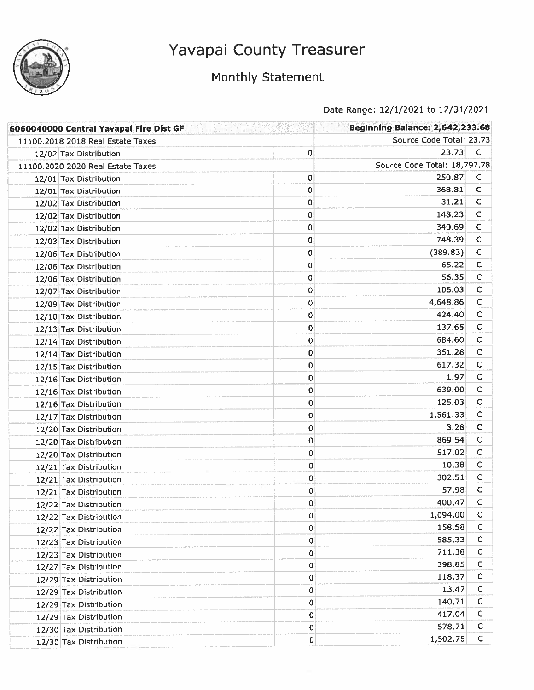

## Monthly Statement

| 6060040000 Central Yavapai Fire Dist GF <b>1989 Contract On the State of Australian</b> |             | <b>Beginning Balance: 2,642,233.68</b> |              |
|-----------------------------------------------------------------------------------------|-------------|----------------------------------------|--------------|
| 11100.2018 2018 Real Estate Taxes                                                       |             | Source Code Total: 23.73               |              |
| 12/02 Tax Distribution                                                                  | 0           | 23,73                                  | $\mathsf{C}$ |
| 11100.2020 2020 Real Estate Taxes                                                       |             | Source Code Total: 18,797.78           |              |
| 12/01 Tax Distribution                                                                  | 0           | 250.87                                 | C            |
| 12/01 Tax Distribution                                                                  | 0           | 368.81                                 | $\mathsf{C}$ |
| 12/02 Tax Distribution                                                                  | 0           | 31.21                                  | c            |
| 12/02 Tax Distribution                                                                  | 0           | 148.23                                 | C            |
| 12/02 Tax Distribution                                                                  | 0           | 340.69                                 | $\mathsf{C}$ |
| 12/03 Tax Distribution                                                                  | 0           | 748.39                                 | $\mathsf{C}$ |
| 12/06 Tax Distribution                                                                  | 0           | (389.83)                               | с            |
| 12/06 Tax Distribution                                                                  | 0           | 65.22                                  | С            |
| 12/06 Tax Distribution                                                                  | 0           | 56.35                                  | $\mathsf{C}$ |
| 12/07 Tax Distribution                                                                  | 0           | 106.03                                 | C            |
| 12/09 Tax Distribution                                                                  | 0           | 4,648.86                               | C            |
| 12/10 Tax Distribution                                                                  | 0           | 424.40                                 | $\mathsf{C}$ |
| 12/13 Tax Distribution                                                                  | 0           | 137.65                                 | C            |
| 12/14 Tax Distribution                                                                  | $\mathbf 0$ | 684.60                                 | $\mathsf{C}$ |
| 12/14 Tax Distribution                                                                  | 0           | 351.28                                 | C            |
| 12/15 Tax Distribution                                                                  | 0           | 617.32                                 | C            |
| 12/16 Tax Distribution                                                                  | 0           | 1.97                                   | C            |
| 12/16 Tax Distribution                                                                  | 0           | 639.00                                 | С            |
| 12/16 Tax Distribution                                                                  | 0           | 125.03                                 | C            |
| 12/17 Tax Distribution                                                                  | 0           | 1,561.33                               | C            |
| 12/20 Tax Distribution                                                                  | 0           | 3.28                                   | C            |
| 12/20 Tax Distribution                                                                  | 0           | 869.54                                 | C            |
| 12/20 Tax Distribution                                                                  | 0           | 517.02                                 | с            |
| 12/21 Tax Distribution                                                                  | 0           | 10.38                                  | с            |
| 12/21 Tax Distribution                                                                  | 0           | 302.51                                 | C            |
| 12/21 Tax Distribution                                                                  | 0           | 57.98                                  | $\mathsf C$  |
| 12/22 Tax Distribution                                                                  | 0           | 400.47                                 | C            |
| 12/22 Tax Distribution                                                                  | 0           | 1,094.00                               | C            |
| 12/22 Tax Distribution                                                                  | $\mathbf 0$ | 158.58                                 | C            |
| 12/23 Tax Distribution                                                                  | $\mathbf 0$ | 585.33                                 | с            |
| 12/23 Tax Distribution                                                                  | 0           | 711.38                                 | с            |
| 12/27 Tax Distribution                                                                  | 0           | 398.85                                 | с            |
| 12/29 Tax Distribution                                                                  | 0           | 118.37                                 | с            |
| 12/29 Tax Distribution                                                                  | 0           | 13.47                                  | $\mathsf{C}$ |
| 12/29 Tax Distribution                                                                  | 0           | 140.71                                 | C            |
| 12/29 Tax Distribution                                                                  | 0           | 417.04                                 | C            |
| 12/30 Tax Distribution                                                                  | $\mathbf 0$ | 578.71                                 | c            |
| 12/30 Tax Distribution                                                                  | 0           | 1,502.75                               | $\mathsf{C}$ |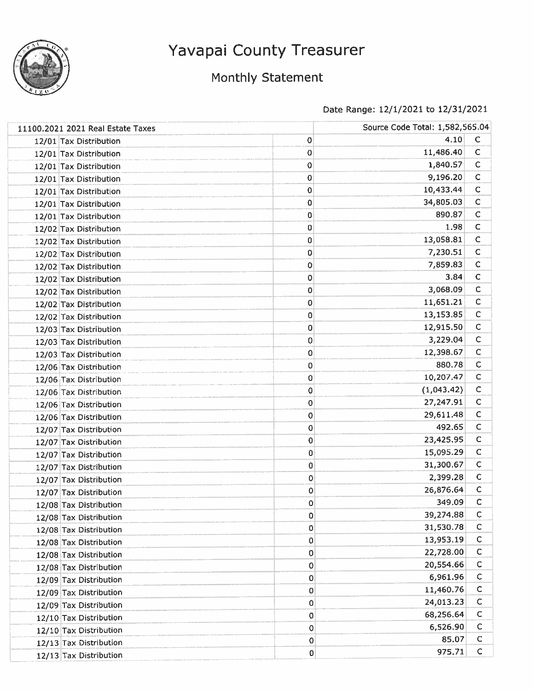

### Monthly Statement

| 11100.2021 2021 Real Estate Taxes |             | Source Code Total: 1,582,565.04 |              |
|-----------------------------------|-------------|---------------------------------|--------------|
| 12/01 Tax Distribution            | 0           | 4.10                            | C            |
| 12/01 Tax Distribution            | 0           | 11,486.40                       | $\mathsf C$  |
| 12/01 Tax Distribution            | 0           | 1,840.57                        | с            |
| 12/01 Tax Distribution            | 0           | 9,196.20                        | $\mathsf C$  |
| 12/01 Tax Distribution            | 0           | 10,433.44                       | $\mathsf C$  |
| 12/01 Tax Distribution            | 0           | 34,805.03                       | $\mathsf C$  |
| 12/01 Tax Distribution            | 0           | 890.87                          | C            |
| 12/02 Tax Distribution            | 0           | 1.98                            | $\mathsf{C}$ |
| 12/02 Tax Distribution            | 0           | 13,058.81                       | $\mathsf C$  |
| 12/02 Tax Distribution            | 0           | 7,230.51                        | $\mathsf C$  |
| 12/02 Tax Distribution            | 0           | 7,859.83                        | $\mathsf C$  |
| 12/02 Tax Distribution            | 0           | 3.84                            | $\mathsf C$  |
| 12/02 Tax Distribution            | 0           | 3,068.09                        | $\mathsf C$  |
| 12/02 Tax Distribution            | 0           | 11,651.21                       | C            |
| 12/02 Tax Distribution            | 0           | 13,153.85                       | C            |
| 12/03 Tax Distribution            | 0           | 12,915.50                       | C            |
| 12/03 Tax Distribution            | 0           | 3,229.04                        | C            |
| 12/03 Tax Distribution            | 0           | 12,398.67                       | $\mathsf C$  |
| 12/06 Tax Distribution            | $\mathbf 0$ | 880.78                          | $\mathsf{C}$ |
| 12/06 Tax Distribution            | 0           | 10,207.47                       | $\mathsf{C}$ |
| 12/06 Tax Distribution            | 0           | (1,043.42)                      | C            |
| 12/06 Tax Distribution            | 0           | 27,247.91                       | $\mathsf{C}$ |
| 12/06 Tax Distribution            | 0           | 29,611.48                       | $\mathsf{C}$ |
| 12/07 Tax Distribution            | $\mathbf 0$ | 492.65                          | $\mathsf{C}$ |
| 12/07 Tax Distribution            | 0           | 23,425.95                       | $\mathsf{C}$ |
| 12/07 Tax Distribution            | 0           | 15,095.29                       | $\mathsf{C}$ |
| 12/07 Tax Distribution            | 0           | 31,300.67                       | C            |
| 12/07 Tax Distribution            | 0           | 2,399.28                        | $\mathsf{C}$ |
| 12/07 Tax Distribution            | 0           | 26,876.64                       | $\mathsf{C}$ |
| 12/08 Tax Distribution            | 0           | 349.09                          | с            |
| 12/08 Tax Distribution            | 0           | 39,274.88                       | $\mathsf{C}$ |
| 12/08 Tax Distribution            | 0           | 31,530.78                       | C            |
| 12/08 Tax Distribution            | 0           | 13,953.19                       | C            |
| 12/08 Tax Distribution            | 0           | 22,728.00                       | $\mathsf{C}$ |
| 12/08 Tax Distribution            | 0           | 20,554.66                       | $\mathsf C$  |
| 12/09 Tax Distribution            | 0           | 6,961.96                        | $\mathsf{C}$ |
| 12/09 Tax Distribution            | 0           | 11,460.76                       | $\mathsf C$  |
| 12/09 Tax Distribution            | 0           | 24,013.23                       | $\mathsf C$  |
| 12/10 Tax Distribution            | 0           | 68,256.64                       | $\mathsf{C}$ |
| 12/10 Tax Distribution            | 0           | 6,526.90                        | $\mathsf{C}$ |
| 12/13 Tax Distribution            | 0           | 85.07                           | $\mathsf{C}$ |
| 12/13 Tax Distribution            | $\pmb{0}$   | 975.71                          | $\mathsf C$  |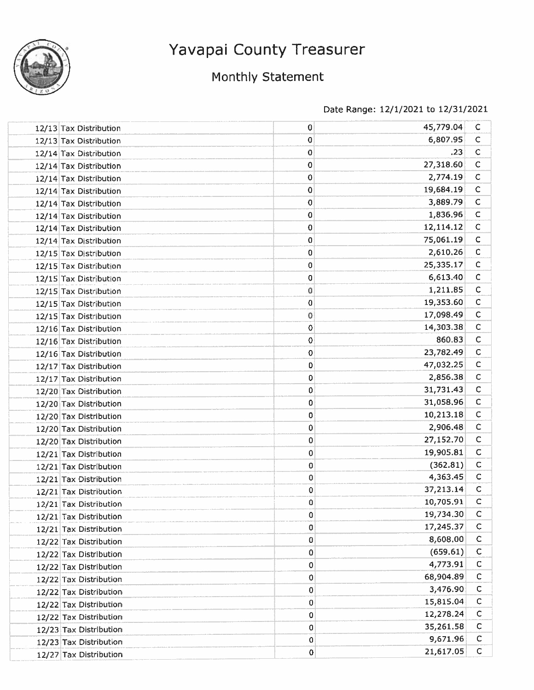

## Monthly Statement

| 12/13 Tax Distribution | 0           | 45,779.04 | C            |
|------------------------|-------------|-----------|--------------|
| 12/13 Tax Distribution | 0           | 6,807.95  | $\mathsf{C}$ |
| 12/14 Tax Distribution | 0           | .23       | $\mathsf{C}$ |
| 12/14 Tax Distribution | 0           | 27,318.60 | $\mathsf{C}$ |
| 12/14 Tax Distribution | 0           | 2,774.19  | C            |
| 12/14 Tax Distribution | 0           | 19,684.19 | $\mathsf{C}$ |
| 12/14 Tax Distribution | $\mathbf 0$ | 3,889.79  | $\mathsf{C}$ |
| 12/14 Tax Distribution | 0           | 1,836.96  | $\mathsf{C}$ |
| 12/14 Tax Distribution | 0           | 12,114.12 | $\mathsf{C}$ |
| 12/14 Tax Distribution | $\bf{0}$    | 75,061.19 | $\mathsf{C}$ |
| 12/15 Tax Distribution | 0           | 2,610.26  | $\mathsf{C}$ |
| 12/15 Tax Distribution | 0           | 25,335.17 | $\mathsf{C}$ |
| 12/15 Tax Distribution | 0           | 6,613.40  | $\mathsf{C}$ |
| 12/15 Tax Distribution | ٥           | 1,211.85  | $\mathsf{C}$ |
| 12/15 Tax Distribution | 0           | 19,353.60 | $\mathsf{C}$ |
| 12/15 Tax Distribution | 0           | 17,098.49 | ¢            |
| 12/16 Tax Distribution | 0           | 14,303.38 | $\mathsf{C}$ |
| 12/16 Tax Distribution | 0           | 860.83    | $\mathsf{C}$ |
| 12/16 Tax Distribution | 0           | 23,782.49 | $\mathsf{C}$ |
| 12/17 Tax Distribution | 0           | 47,032.25 | $\mathsf{C}$ |
| 12/17 Tax Distribution | 0           | 2,856.38  | C            |
| 12/20 Tax Distribution | 0           | 31,731.43 | $\mathsf{C}$ |
| 12/20 Tax Distribution | 0           | 31,058.96 | $\mathsf{C}$ |
| 12/20 Tax Distribution | 0           | 10,213.18 | $\mathsf{C}$ |
| 12/20 Tax Distribution | 0           | 2,906.48  | $\mathsf{C}$ |
| 12/20 Tax Distribution | 0           | 27,152.70 | $\mathsf{C}$ |
| 12/21 Tax Distribution | 0           | 19,905.81 | $\mathsf{C}$ |
| 12/21 Tax Distribution | $\pmb{0}$   | (362.81)  | $\mathsf C$  |
| 12/21 Tax Distribution | $\pmb{0}$   | 4,363.45  | $\mathsf C$  |
| 12/21 Tax Distribution | 0           | 37,213.14 | C            |
| 12/21 Tax Distribution | 0           | 10,705.91 | C            |
| 12/21 Tax Distribution | 0           | 19,734.30 | C            |
| 12/21 Tax Distribution | 0           | 17,245.37 | $\mathsf{C}$ |
| 12/22 Tax Distribution | 0           | 8,608.00  | C            |
| 12/22 Tax Distribution | 0           | (659.61)  | $\mathsf{C}$ |
| 12/22 Tax Distribution | 0           | 4,773.91  | C            |
| 12/22 Tax Distribution | $\pmb{0}$   | 68,904.89 | c            |
| 12/22 Tax Distribution | $\pmb{0}$   | 3,476.90  | C            |
| 12/22 Tax Distribution | 0           | 15,815.04 | C            |
| 12/22 Tax Distribution | 0           | 12,278.24 | $\mathsf C$  |
| 12/23 Tax Distribution | 0           | 35,261.58 | C            |
| 12/23 Tax Distribution | 0           | 9,671.96  | $\mathsf{C}$ |
| 12/27 Tax Distribution | $\pmb{0}$   | 21,617.05 | $\mathsf{C}$ |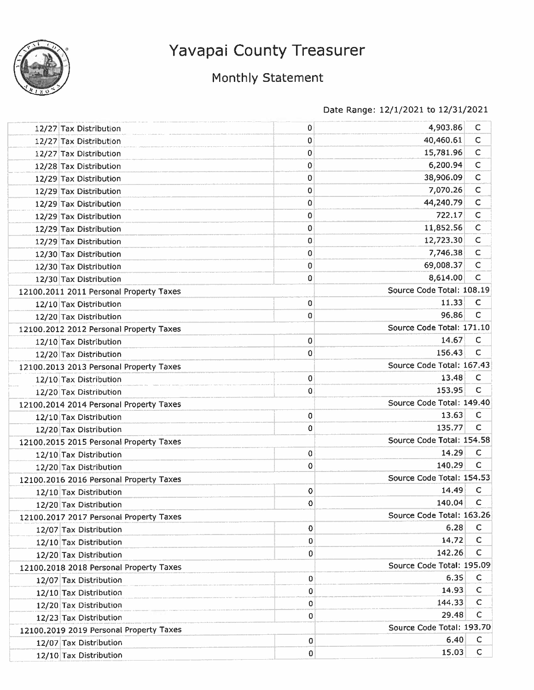

## Monthly Statement

| 12/27 Tax Distribution                  | 0 | 4,903.86                  | С            |
|-----------------------------------------|---|---------------------------|--------------|
| 12/27 Tax Distribution                  | 0 | 40,460.61                 | $\mathsf C$  |
| 12/27 Tax Distribution                  | 0 | 15,781.96                 | $\mathsf C$  |
| 12/28 Tax Distribution                  | 0 | 6,200.94                  | C            |
| 12/29 Tax Distribution                  | 0 | 38,906.09                 | C            |
| 12/29 Tax Distribution                  | 0 | 7,070.26                  | C            |
| 12/29 Tax Distribution                  | 0 | 44,240.79                 | $\mathsf C$  |
| 12/29 Tax Distribution                  | 0 | 722.17                    | C            |
| 12/29 Tax Distribution                  | 0 | 11,852.56                 | C            |
| 12/29 Tax Distribution                  | 0 | 12,723.30                 | $\mathsf C$  |
| 12/30 Tax Distribution                  | 0 | 7,746.38                  | $\mathsf C$  |
| 12/30 Tax Distribution                  | 0 | 69,008.37                 | $\mathsf{C}$ |
| 12/30 Tax Distribution                  | 0 | 8,614.00                  | $\mathsf{C}$ |
| 12100.2011 2011 Personal Property Taxes |   | Source Code Total: 108.19 |              |
| 12/10 Tax Distribution                  | 0 | 11.33                     | $\mathsf C$  |
| 12/20 Tax Distribution                  | 0 | 96.86                     | с            |
| 12100.2012 2012 Personal Property Taxes |   | Source Code Total: 171.10 |              |
| 12/10 Tax Distribution                  | 0 | 14.67                     | $\mathsf C$  |
| 12/20 Tax Distribution                  | 0 | 156.43                    | С            |
| 12100.2013 2013 Personal Property Taxes |   | Source Code Total: 167.43 |              |
| 12/10 Tax Distribution                  | 0 | 13.48                     | c            |
| 12/20 Tax Distribution                  | 0 | 153.95                    | C            |
| 12100.2014 2014 Personal Property Taxes |   | Source Code Total: 149.40 |              |
| 12/10 Tax Distribution                  | 0 | 13.63                     | $\mathsf C$  |
| 12/20 Tax Distribution                  | 0 | 135.77                    | C            |
| 12100.2015 2015 Personal Property Taxes |   | Source Code Total: 154.58 |              |
| 12/10 Tax Distribution                  | 0 | 14.29                     | C            |
| 12/20 Tax Distribution                  | 0 | 140.29                    | C            |
| 12100.2016 2016 Personal Property Taxes |   | Source Code Total: 154.53 |              |
| 12/10 Tax Distribution                  | 0 | 14.49                     | $\mathsf C$  |
| 12/20 Tax Distribution                  | 0 | 140.04                    | C            |
| 12100.2017 2017 Personal Property Taxes |   | Source Code Total: 163.26 |              |
| 12/07 Tax Distribution                  | 0 | 6.28                      | $\mathsf C$  |
| 12/10 Tax Distribution                  | 0 | 14.72                     | C            |
| 12/20 Tax Distribution                  | 0 | 142.26                    | C            |
| 12100.2018 2018 Personal Property Taxes |   | Source Code Total: 195.09 |              |
| 12/07 Tax Distribution                  | 0 | 6.35                      | C            |
| 12/10 Tax Distribution                  | 0 | 14.93                     | $\mathsf{C}$ |
| 12/20 Tax Distribution                  | 0 | 144.33                    | C            |
| 12/23 Tax Distribution                  | 0 | 29.48                     | C            |
| 12100,2019 2019 Personal Property Taxes |   | Source Code Total: 193.70 |              |
| 12/07 Tax Distribution                  | 0 | 6.40                      | C            |
| 12/10 Tax Distribution                  | 0 | 15.03                     | C            |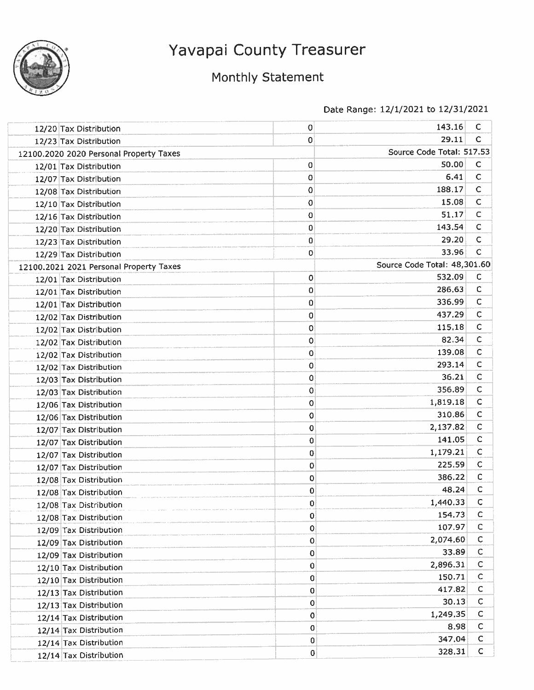

## Monthly Statement

| 12/20 Tax Distribution                  | 0           | 143.16                       | C            |
|-----------------------------------------|-------------|------------------------------|--------------|
| 12/23 Tax Distribution                  | 0           | 29.11                        | C            |
| 12100.2020 2020 Personal Property Taxes |             | Source Code Total: 517.53    |              |
| 12/01 Tax Distribution                  | 0           | 50.00                        | C            |
| 12/07 Tax Distribution                  | 0           | 6.41                         | $\mathsf C$  |
| 12/08 Tax Distribution                  | 0           | 188.17                       | C            |
| 12/10 Tax Distribution                  | 0           | 15.08                        | C            |
| 12/16 Tax Distribution                  | 0           | 51.17                        | C            |
| 12/20 Tax Distribution                  | 0           | 143.54                       | C            |
| 12/23 Tax Distribution                  | 0           | 29.20                        | С            |
| 12/29 Tax Distribution                  | 0           | 33.96                        | c            |
| 12100.2021 2021 Personal Property Taxes |             | Source Code Total: 48,301.60 |              |
| 12/01 Tax Distribution                  | 0           | 532.09                       | $\mathsf{C}$ |
| 12/01 Tax Distribution                  | 0           | 286.63                       | с            |
| 12/01 Tax Distribution                  | 0           | 336.99                       | С            |
| 12/02 Tax Distribution                  | 0           | 437.29                       | C            |
| 12/02 Tax Distribution                  | 0           | 115.18                       | C            |
| 12/02 Tax Distribution                  | 0           | 82.34                        | $\mathsf{C}$ |
| 12/02 Tax Distribution                  | 0           | 139.08                       | C            |
| 12/02 Tax Distribution                  | 0           | 293.14                       | C            |
| 12/03 Tax Distribution                  | 0           | 36.21                        | C            |
| 12/03 Tax Distribution                  | 0           | 356.89                       | C            |
| 12/06 Tax Distribution                  | 0           | 1,819.18                     | $\mathsf{C}$ |
| 12/06 Tax Distribution                  | 0           | 310.86                       | $\mathsf C$  |
| 12/07 Tax Distribution                  | 0           | 2,137.82                     | C            |
| 12/07 Tax Distribution                  | 0           | 141.05                       | с            |
| 12/07 Tax Distribution                  | 0           | 1,179.21                     | C            |
| 12/07 Tax Distribution                  | $\mathbf 0$ | 225.59                       | $\mathsf{C}$ |
| 12/08 Tax Distribution                  | 0           | 386.22                       | с            |
| 12/08 Tax Distribution                  | 0           | 48.24                        | C            |
| 12/08 Tax Distribution                  | 0           | 1,440.33                     | c            |
| 12/08 Tax Distribution                  | $\pmb{0}$   | 154.73                       | C            |
| 12/09 Tax Distribution                  | 0           | 107.97                       | C            |
| 12/09 Tax Distribution                  | 0           | 2,074.60                     | с            |
| 12/09 Tax Distribution                  | 0           | 33.89                        | C            |
| 12/10 Tax Distribution                  | 0           | 2,896.31                     | C            |
| 12/10 Tax Distribution                  | 0           | 150.71                       | C            |
| 12/13 Tax Distribution                  | 0           | 417.82                       | C            |
| 12/13 Tax Distribution                  | 0           | 30.13                        | C            |
| 12/14 Tax Distribution                  | 0           | 1,249.35                     | с            |
| 12/14 Tax Distribution                  | 0           | 8.98                         | $\mathsf{C}$ |
| 12/14 Tax Distribution                  | 0           | 347.04                       | $\mathsf{C}$ |
| 12/14 Tax Distribution                  | 0           | 328.31                       | $\mathsf C$  |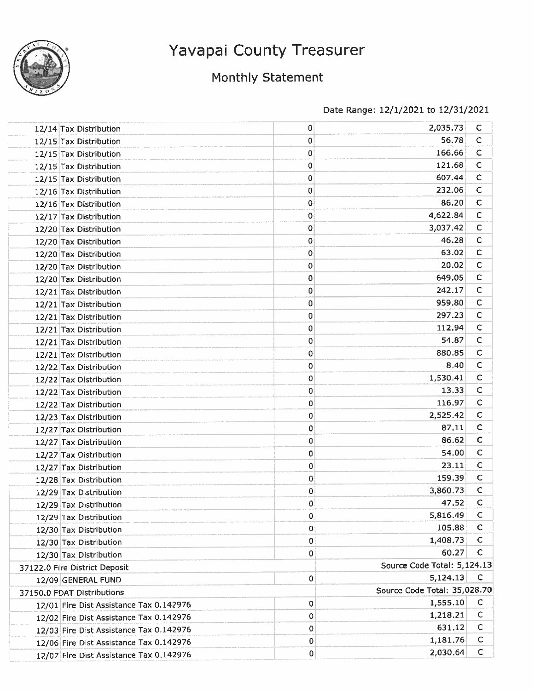

## Monthly Statement

| 12/14 Tax Distribution                  | 0 | 2,035.73                     | C            |
|-----------------------------------------|---|------------------------------|--------------|
| 12/15 Tax Distribution                  | 0 | 56.78                        | $\mathsf{C}$ |
| 12/15 Tax Distribution                  | 0 | 166.66                       | C            |
| 12/15 Tax Distribution                  | 0 | 121.68                       | $\mathsf{C}$ |
| 12/15 Tax Distribution                  | 0 | 607.44                       | $\mathsf{C}$ |
| 12/16 Tax Distribution                  | 0 | 232.06                       | $\mathsf{C}$ |
| 12/16 Tax Distribution                  | 0 | 86.20                        | $\mathsf{C}$ |
| 12/17 Tax Distribution                  | 0 | 4,622.84                     | $\mathsf C$  |
| 12/20 Tax Distribution                  | 0 | 3,037.42                     | c            |
| 12/20 Tax Distribution                  | 0 | 46.28                        | $\mathsf C$  |
| 12/20 Tax Distribution                  | 0 | 63.02                        | с            |
| 12/20 Tax Distribution                  | 0 | 20.02                        | $\mathsf C$  |
| 12/20 Tax Distribution                  | 0 | 649.05                       | C            |
| 12/21 Tax Distribution                  | 0 | 242.17                       | C            |
| 12/21 Tax Distribution                  | 0 | 959.80                       | C            |
| 12/21 Tax Distribution                  | 0 | 297.23                       | с            |
| 12/21 Tax Distribution                  | 0 | 112.94                       | $\mathsf C$  |
| 12/21 Tax Distribution                  | 0 | 54.87                        | C            |
| 12/21 Tax Distribution                  | 0 | 880.85                       | $\mathsf{C}$ |
| 12/22 Tax Distribution                  | 0 | 8.40                         | $\mathsf C$  |
| 12/22 Tax Distribution                  | 0 | 1,530.41                     | $\mathsf C$  |
| 12/22 Tax Distribution                  | 0 | 13.33                        | C            |
| 12/22 Tax Distribution                  | 0 | 116.97                       | $\mathsf C$  |
| 12/23 Tax Distribution                  | 0 | 2,525.42                     | $\mathsf{C}$ |
| 12/27 Tax Distribution                  | 0 | 87.11                        | $\mathsf C$  |
| 12/27 Tax Distribution                  | 0 | 86.62                        | $\mathsf C$  |
| 12/27 Tax Distribution                  | 0 | 54.00                        | C            |
| 12/27 Tax Distribution                  | 0 | 23.11                        | C            |
| 12/28 Tax Distribution                  | 0 | 159.39                       | C            |
| 12/29 Tax Distribution                  | 0 | 3,860.73                     | $\mathsf C$  |
| 12/29 Tax Distribution                  | 0 | 47.52                        | $\mathsf C$  |
| 12/29 Tax Distribution                  | 0 | 5,816.49                     | C            |
| 12/30 Tax Distribution                  | 0 | 105.88                       | $\mathsf C$  |
| 12/30 Tax Distribution                  | 0 | 1,408.73                     | $\mathsf C$  |
| 12/30 Tax Distribution                  | 0 | 60.27                        | $\mathsf{C}$ |
| 37122.0 Fire District Deposit           |   | Source Code Total: 5,124.13  |              |
| 12/09 GENERAL FUND                      | 0 | 5,124.13                     | $\mathsf{C}$ |
| 37150.0 FDAT Distributions              |   | Source Code Total: 35,028.70 |              |
| 12/01 Fire Dist Assistance Tax 0.142976 | 0 | 1,555.10                     | C            |
| 12/02 Fire Dist Assistance Tax 0.142976 | 0 | 1,218.21                     | $\mathsf C$  |
| 12/03 Fire Dist Assistance Tax 0.142976 | 0 | 631.12                       | $\mathsf C$  |
| 12/06 Fire Dist Assistance Tax 0.142976 | 0 | 1,181.76                     | $\mathsf{C}$ |
| 12/07 Fire Dist Assistance Tax 0.142976 | 0 | 2,030.64                     | $\mathsf C$  |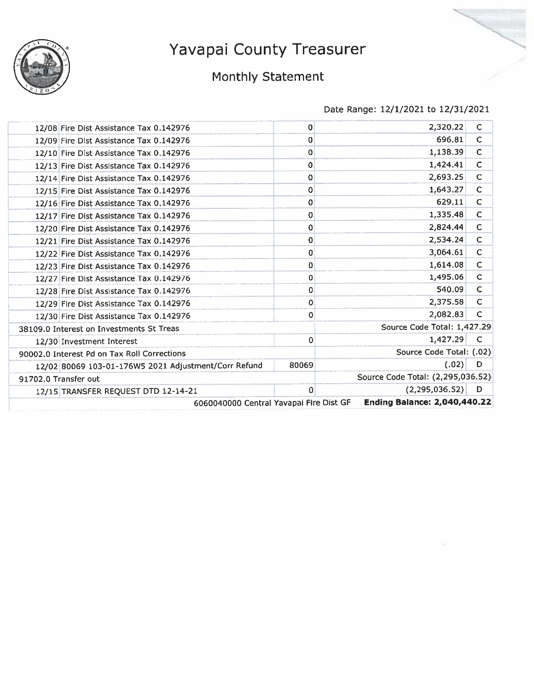

## Monthly Statement

| 12/08 Fire Dist Assistance Tax 0.142976              | 0           | 2,320.22                            | C            |
|------------------------------------------------------|-------------|-------------------------------------|--------------|
| 12/09 Fire Dist Assistance Tax 0.142976              | 0           | 696.81                              | C            |
| 12/10 Fire Dist Assistance Tax 0.142976              | 0           | 1,138.39                            | $\mathsf{C}$ |
| 12/13 Fire Dist Assistance Tax 0.142976              | 0           | 1,424.41                            | C            |
| 12/14 Fire Dist Assistance Tax 0.142976              | 0           | 2,693.25                            | C            |
| 12/15 Fire Dist Assistance Tax 0.142976              | 0           | 1,643.27                            | C            |
| 12/16 Fire Dist Assistance Tax 0.142976              | 0           | 629.11                              | $\mathsf{C}$ |
| 12/17 Fire Dist Assistance Tax 0.142976              | 0           | 1,335.48                            | $\mathsf C$  |
| 12/20 Fire Dist Assistance Tax 0.142976              | 0           | 2,824.44                            | $\mathbf C$  |
| 12/21 Fire Dist Assistance Tax 0.142976              | 0           | 2,534.24                            | C            |
| 12/22 Fire Dist Assistance Tax 0.142976              | 0           | 3,064.61                            | $\mathsf C$  |
| 12/23 Fire Dist Assistance Tax 0.142976              | 0           | 1,614.08                            | C            |
| 12/27 Fire Dist Assistance Tax 0.142976              | 0           | 1,495.06                            | $\mathsf C$  |
| 12/28 Fire Dist Assistance Tax 0.142976              | 0           | 540.09                              | $\mathsf{C}$ |
| 12/29 Fire Dist Assistance Tax 0.142976              | 0           | 2,375.58                            | C            |
| 12/30 Fire Dist Assistance Tax 0.142976              | 0           | 2,082.83                            | C            |
| 38109.0 Interest on Investments St Treas             |             | Source Code Total: 1,427.29         |              |
| 12/30 Investment Interest                            | $\mathbf 0$ | 1,427.29                            | C            |
| 90002.0 Interest Pd on Tax Roll Corrections          |             | Source Code Total: (.02)            |              |
| 12/02 80069 103-01-176W5 2021 Adjustment/Corr Refund | 80069       | (.02)                               | D            |
| 91702.0 Transfer out                                 |             | Source Code Total: (2,295,036.52)   |              |
| 12/15 TRANSFER REQUEST DTD 12-14-21                  | 0           | (2, 295, 036, 52)                   | D            |
| 6060040000 Central Yavapai Fire Dist GF              |             | <b>Ending Balance: 2,040,440.22</b> |              |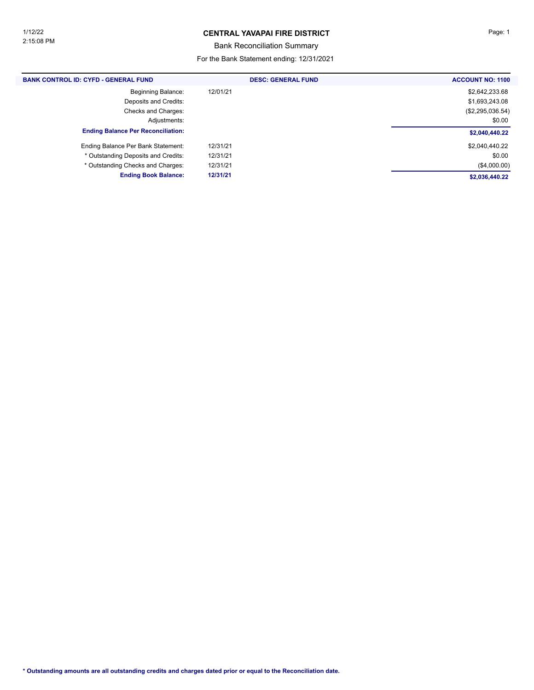### **CENTRAL YAVAPAI FIRE DISTRICT Page: 1**

Bank Reconciliation Summary

| <b>BANK CONTROL ID: CYFD - GENERAL FUND</b> | <b>DESC: GENERAL FUND</b> | <b>ACCOUNT NO: 1100</b> |
|---------------------------------------------|---------------------------|-------------------------|
| <b>Beginning Balance:</b>                   | 12/01/21                  | \$2,642,233.68          |
| Deposits and Credits:                       |                           | \$1,693,243.08          |
| Checks and Charges:                         |                           | (\$2,295,036.54)        |
| Adjustments:                                |                           | \$0.00                  |
| <b>Ending Balance Per Reconciliation:</b>   |                           | \$2,040,440.22          |
| Ending Balance Per Bank Statement:          | 12/31/21                  | \$2,040,440.22          |
| * Outstanding Deposits and Credits:         | 12/31/21                  | \$0.00                  |
| * Outstanding Checks and Charges:           | 12/31/21                  | (\$4,000.00)            |
| <b>Ending Book Balance:</b>                 | 12/31/21                  | \$2,036,440.22          |
|                                             |                           |                         |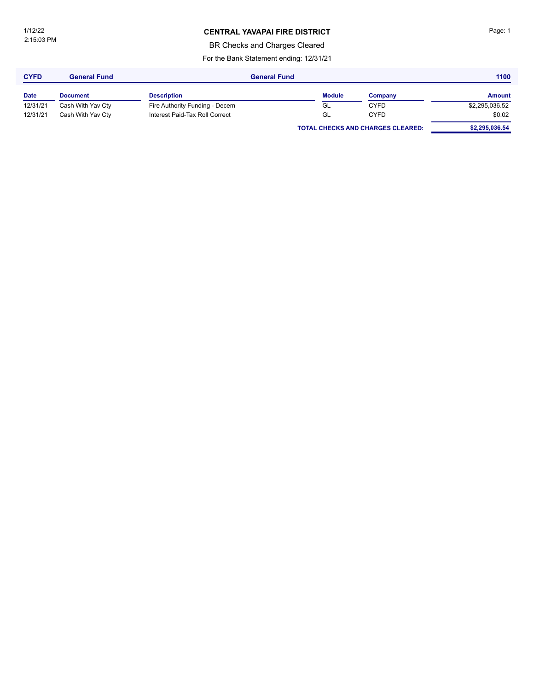### **CENTRAL YAVAPAI FIRE DISTRICT Page: 1**

BR Checks and Charges Cleared

| <b>CYFD</b> | <b>General Fund</b> | <b>General Fund</b>            |               |                                          | 1100           |
|-------------|---------------------|--------------------------------|---------------|------------------------------------------|----------------|
| <b>Date</b> | <b>Document</b>     | <b>Description</b>             | <b>Module</b> | Company                                  | <b>Amount</b>  |
| 12/31/21    | Cash With Yav Cty   | Fire Authority Funding - Decem | GL            | <b>CYFD</b>                              | \$2,295,036.52 |
| 12/31/21    | Cash With Yav Cty   | Interest Paid-Tax Roll Correct | GL            | <b>CYFD</b>                              | \$0.02         |
|             |                     |                                |               | <b>TOTAL CHECKS AND CHARGES CLEARED:</b> | \$2,295,036.54 |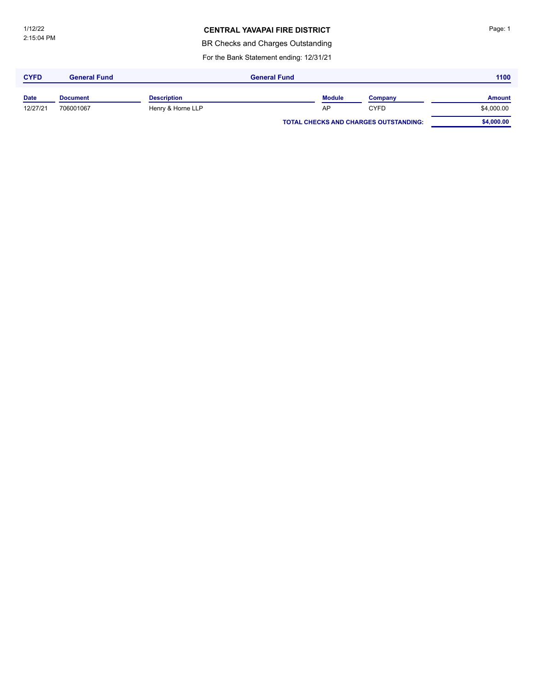### **CENTRAL YAVAPAI FIRE DISTRICT**

BR Checks and Charges Outstanding

| <b>CYFD</b> | <b>General Fund</b> |                    | <b>General Fund</b> |               |                                              | 1100          |
|-------------|---------------------|--------------------|---------------------|---------------|----------------------------------------------|---------------|
| <b>Date</b> | <b>Document</b>     | <b>Description</b> |                     | <b>Module</b> | Company                                      | <b>Amount</b> |
| 12/27/21    | 706001067           | Henry & Horne LLP  |                     | AP            | <b>CYFD</b>                                  | \$4,000.00    |
|             |                     |                    |                     |               | <b>TOTAL CHECKS AND CHARGES OUTSTANDING:</b> | \$4,000.00    |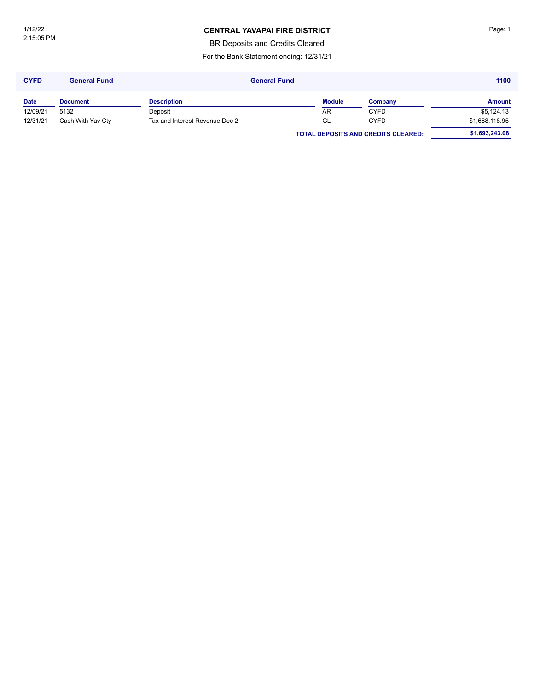### **CENTRAL YAVAPAI FIRE DISTRICT Page: 1**

BR Deposits and Credits Cleared

| <b>CYFD</b> | <b>General Fund</b> | <b>General Fund</b>            |               |                                            | 1100           |  |
|-------------|---------------------|--------------------------------|---------------|--------------------------------------------|----------------|--|
| <b>Date</b> | <b>Document</b>     | <b>Description</b>             | <b>Module</b> | Company                                    | <b>Amount</b>  |  |
| 12/09/21    | 5132                | Deposit                        | AR            | <b>CYFD</b>                                | \$5,124.13     |  |
| 12/31/21    | Cash With Yav Cty   | Tax and Interest Revenue Dec 2 | GL            | <b>CYFD</b>                                | \$1,688,118.95 |  |
|             |                     |                                |               | <b>TOTAL DEPOSITS AND CREDITS CLEARED:</b> | \$1,693,243.08 |  |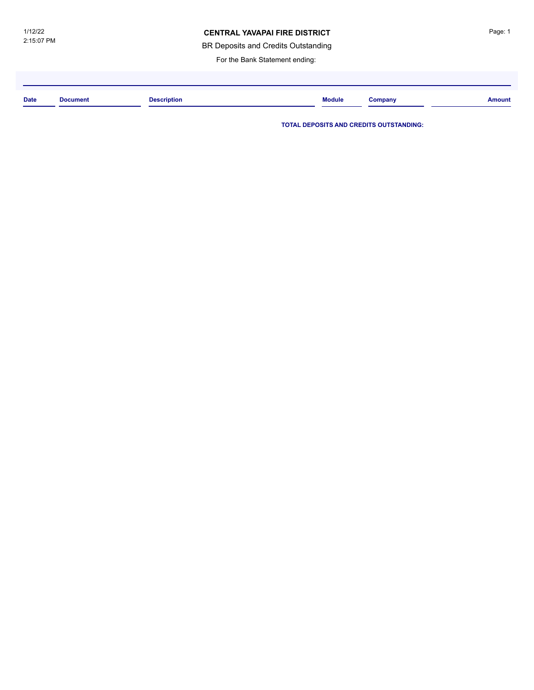### **CENTRAL YAVAPAI FIRE DISTRICT**

BR Deposits and Credits Outstanding

For the Bank Statement ending:

| <b>Date</b> | <b>Document</b> | <b>Description</b><br>. | <b>Module</b> | Jompany | <b>Amount</b> |
|-------------|-----------------|-------------------------|---------------|---------|---------------|
|             |                 |                         |               |         |               |

**TOTAL DEPOSITS AND CREDITS OUTSTANDING:**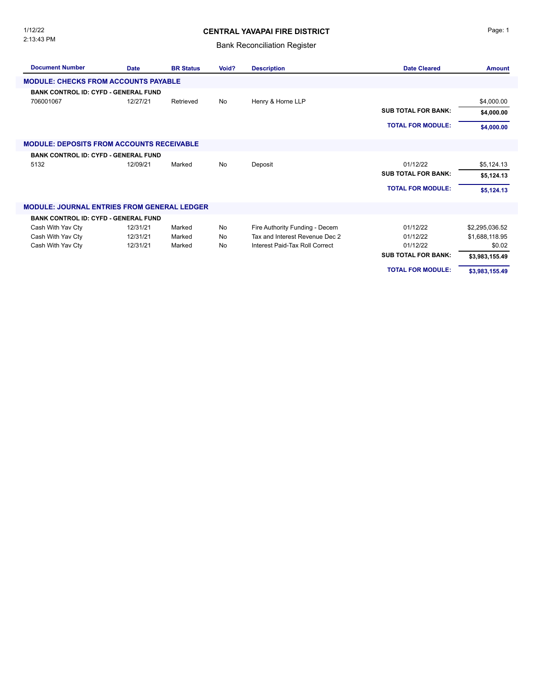2:13:43 PM 1/12/22

### **CENTRAL YAVAPAI FIRE DISTRICT**

### Bank Reconciliation Register

| <b>Document Number</b>                             | <b>Date</b> | <b>BR Status</b> | Void? | <b>Description</b>             | <b>Date Cleared</b>        | <b>Amount</b>  |
|----------------------------------------------------|-------------|------------------|-------|--------------------------------|----------------------------|----------------|
| <b>MODULE: CHECKS FROM ACCOUNTS PAYABLE</b>        |             |                  |       |                                |                            |                |
| <b>BANK CONTROL ID: CYFD - GENERAL FUND</b>        |             |                  |       |                                |                            |                |
| 706001067                                          | 12/27/21    | Retrieved        | No    | Henry & Horne LLP              |                            | \$4,000.00     |
|                                                    |             |                  |       |                                | <b>SUB TOTAL FOR BANK:</b> | \$4,000.00     |
|                                                    |             |                  |       |                                | <b>TOTAL FOR MODULE:</b>   | \$4,000.00     |
| <b>MODULE: DEPOSITS FROM ACCOUNTS RECEIVABLE</b>   |             |                  |       |                                |                            |                |
| <b>BANK CONTROL ID: CYFD - GENERAL FUND</b>        |             |                  |       |                                |                            |                |
| 5132                                               | 12/09/21    | Marked           | No    | Deposit                        | 01/12/22                   | \$5,124.13     |
|                                                    |             |                  |       |                                | <b>SUB TOTAL FOR BANK:</b> | \$5,124.13     |
|                                                    |             |                  |       |                                | <b>TOTAL FOR MODULE:</b>   | \$5,124.13     |
| <b>MODULE: JOURNAL ENTRIES FROM GENERAL LEDGER</b> |             |                  |       |                                |                            |                |
| <b>BANK CONTROL ID: CYFD - GENERAL FUND</b>        |             |                  |       |                                |                            |                |
| Cash With Yav Cty                                  | 12/31/21    | Marked           | No    | Fire Authority Funding - Decem | 01/12/22                   | \$2,295,036.52 |
| Cash With Yav Cty                                  | 12/31/21    | Marked           | No    | Tax and Interest Revenue Dec 2 | 01/12/22                   | \$1,688,118.95 |
| Cash With Yav Cty                                  | 12/31/21    | Marked           | No    | Interest Paid-Tax Roll Correct | 01/12/22                   | \$0.02         |
|                                                    |             |                  |       |                                | <b>SUB TOTAL FOR BANK:</b> | \$3,983,155.49 |
|                                                    |             |                  |       |                                | <b>TOTAL FOR MODULE:</b>   | \$3,983,155.49 |

Page: 1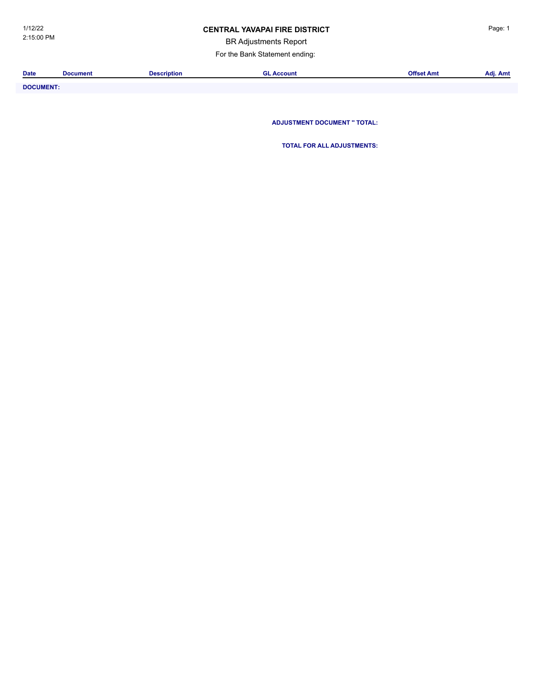### **CENTRAL YAVAPAI FIRE DISTRICT Example 20 AVACAL Page: 1**

BR Adjustments Report

For the Bank Statement ending:

| <b>Date</b>           | <b>Document</b> | Description | Account | Offset Amt | . .<br>Adj. Amt |
|-----------------------|-----------------|-------------|---------|------------|-----------------|
|                       |                 |             |         |            |                 |
| _ _ _ _ _ _ _ _ _ _ _ |                 |             |         |            |                 |

**DOCUMENT: ADJUSTMENT DOCUMENT '' TOTAL:**

**TOTAL FOR ALL ADJUSTMENTS:**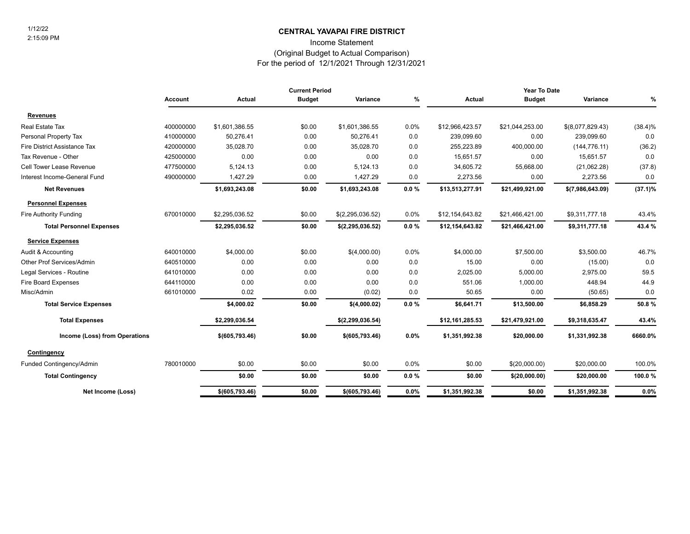### **CENTRAL YAVAPAI FIRE DISTRICT** 1/12/22

Income Statement

#### (Original Budget to Actual Comparison)

For the period of 12/1/2021 Through 12/31/2021

|                                 | <b>Current Period</b> |                  |               |                    | Year To Date |                 |                 |                  |            |
|---------------------------------|-----------------------|------------------|---------------|--------------------|--------------|-----------------|-----------------|------------------|------------|
|                                 | <b>Account</b>        | Actual           | <b>Budget</b> | Variance           | %            | Actual          | <b>Budget</b>   | Variance         | %          |
| <b>Revenues</b>                 |                       |                  |               |                    |              |                 |                 |                  |            |
| Real Estate Tax                 | 400000000             | \$1,601,386.55   | \$0.00        | \$1,601,386.55     | 0.0%         | \$12,966,423.57 | \$21,044,253.00 | \$(8,077,829.43) | $(38.4)\%$ |
| Personal Property Tax           | 410000000             | 50,276.41        | 0.00          | 50,276.41          | 0.0          | 239,099.60      | 0.00            | 239,099.60       | 0.0        |
| Fire District Assistance Tax    | 420000000             | 35,028.70        | 0.00          | 35,028.70          | 0.0          | 255,223.89      | 400,000.00      | (144, 776.11)    | (36.2)     |
| Tax Revenue - Other             | 425000000             | 0.00             | 0.00          | 0.00               | 0.0          | 15,651.57       | 0.00            | 15,651.57        | 0.0        |
| Cell Tower Lease Revenue        | 477500000             | 5,124.13         | 0.00          | 5,124.13           | 0.0          | 34,605.72       | 55,668.00       | (21,062.28)      | (37.8)     |
| Interest Income-General Fund    | 490000000             | 1,427.29         | 0.00          | 1,427.29           | 0.0          | 2,273.56        | 0.00            | 2,273.56         | 0.0        |
| <b>Net Revenues</b>             |                       | \$1,693,243.08   | \$0.00        | \$1,693,243.08     | 0.0%         | \$13,513,277.91 | \$21,499,921.00 | \$(7,986,643.09) | $(37.1)\%$ |
| <b>Personnel Expenses</b>       |                       |                  |               |                    |              |                 |                 |                  |            |
| Fire Authority Funding          | 670010000             | \$2,295,036.52   | \$0.00        | \$(2,295,036.52)   | 0.0%         | \$12,154,643.82 | \$21,466,421.00 | \$9,311,777.18   | 43.4%      |
| <b>Total Personnel Expenses</b> |                       | \$2,295,036.52   | \$0.00        | \$(2, 295, 036.52) | $0.0 \%$     | \$12,154,643.82 | \$21,466,421.00 | \$9,311,777.18   | 43.4 %     |
| <b>Service Expenses</b>         |                       |                  |               |                    |              |                 |                 |                  |            |
| Audit & Accounting              | 640010000             | \$4,000.00       | \$0.00        | \$(4,000.00)       | 0.0%         | \$4,000.00      | \$7,500.00      | \$3,500.00       | 46.7%      |
| Other Prof Services/Admin       | 640510000             | 0.00             | 0.00          | 0.00               | 0.0          | 15.00           | 0.00            | (15.00)          | 0.0        |
| Legal Services - Routine        | 641010000             | 0.00             | 0.00          | 0.00               | 0.0          | 2,025.00        | 5,000.00        | 2,975.00         | 59.5       |
| Fire Board Expenses             | 644110000             | 0.00             | 0.00          | 0.00               | 0.0          | 551.06          | 1,000.00        | 448.94           | 44.9       |
| Misc/Admin                      | 661010000             | 0.02             | 0.00          | (0.02)             | 0.0          | 50.65           | 0.00            | (50.65)          | 0.0        |
| <b>Total Service Expenses</b>   |                       | \$4,000.02       | \$0.00        | \$(4,000.02)       | 0.0%         | \$6,641.71      | \$13,500.00     | \$6,858.29       | 50.8%      |
| <b>Total Expenses</b>           |                       | \$2,299,036.54   |               | \$(2, 299, 036.54) |              | \$12,161,285.53 | \$21,479,921.00 | \$9,318,635.47   | 43.4%      |
| Income (Loss) from Operations   |                       | \$ (605, 793.46) | \$0.00        | \$ (605, 793.46)   | $0.0\%$      | \$1,351,992.38  | \$20,000.00     | \$1,331,992.38   | 6660.0%    |
| Contingency                     |                       |                  |               |                    |              |                 |                 |                  |            |
| Funded Contingency/Admin        | 780010000             | \$0.00           | \$0.00        | \$0.00             | 0.0%         | \$0.00          | \$(20,000.00)   | \$20,000.00      | 100.0%     |
| <b>Total Contingency</b>        |                       | \$0.00           | \$0.00        | \$0.00             | $0.0 \%$     | \$0.00          | \$(20,000.00)   | \$20,000.00      | 100.0%     |
| Net Income (Loss)               |                       | \$ (605, 793.46) | \$0.00        | \$ (605, 793.46)   | 0.0%         | \$1,351,992.38  | \$0.00          | \$1,351,992.38   | 0.0%       |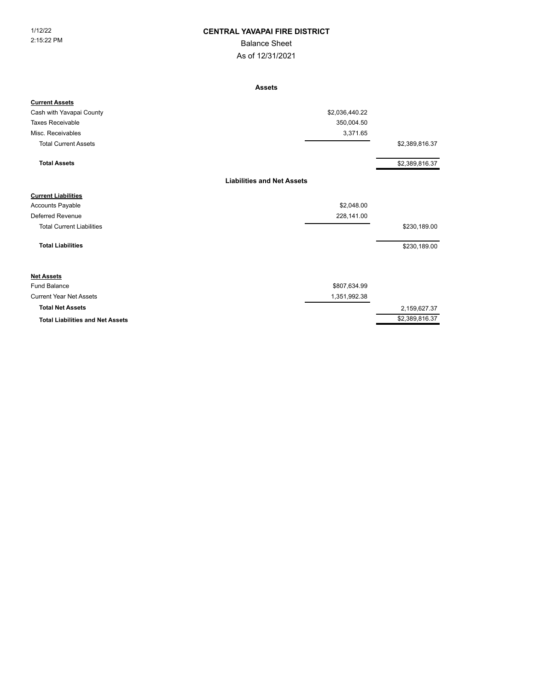### 1/12/22 **CENTRAL YAVAPAI FIRE DISTRICT**

Balance Sheet

As of 12/31/2021

**Assets**

| <b>Current Assets</b>                   |                                   |                |
|-----------------------------------------|-----------------------------------|----------------|
| Cash with Yavapai County                | \$2,036,440.22                    |                |
| <b>Taxes Receivable</b>                 | 350,004.50                        |                |
| Misc. Receivables                       | 3,371.65                          |                |
| <b>Total Current Assets</b>             |                                   | \$2,389,816.37 |
| <b>Total Assets</b>                     |                                   | \$2,389,816.37 |
|                                         | <b>Liabilities and Net Assets</b> |                |
| <b>Current Liabilities</b>              |                                   |                |
| Accounts Payable                        | \$2,048.00                        |                |
| Deferred Revenue                        | 228,141.00                        |                |
| <b>Total Current Liabilities</b>        |                                   | \$230,189.00   |
| <b>Total Liabilities</b>                |                                   | \$230,189.00   |
| <b>Net Assets</b>                       |                                   |                |
| <b>Fund Balance</b>                     | \$807,634.99                      |                |
| <b>Current Year Net Assets</b>          | 1,351,992.38                      |                |
| <b>Total Net Assets</b>                 |                                   | 2,159,627.37   |
| <b>Total Liabilities and Net Assets</b> |                                   | \$2,389,816.37 |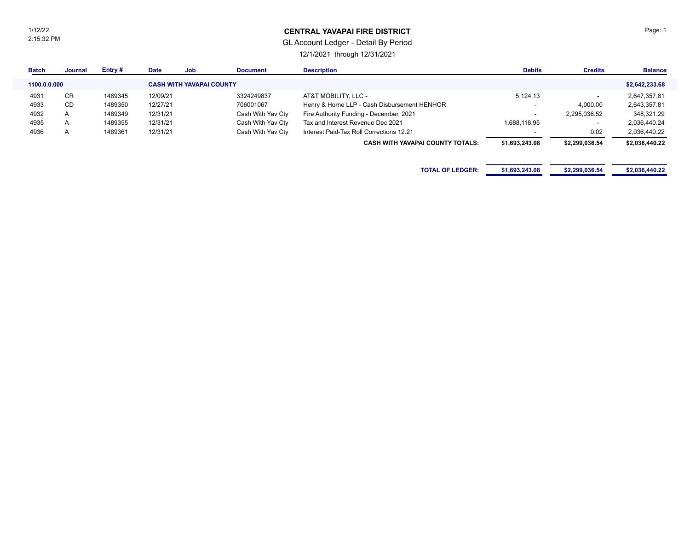1/12/22 2:15:32 PM

### **CENTRAL YAVAPAI FIRE DISTRICT**

### GL Account Ledger - Detail By Period

12/1/2021 through 12/31/2021

| <b>Batch</b> | <b>Journal</b> | Entry#  | <b>Date</b> | Job                             | <b>Document</b>   | <b>Description</b>                           | <b>Debits</b>            | <b>Credits</b> | <b>Balance</b> |
|--------------|----------------|---------|-------------|---------------------------------|-------------------|----------------------------------------------|--------------------------|----------------|----------------|
| 1100.0.0.000 |                |         |             | <b>CASH WITH YAVAPAI COUNTY</b> |                   |                                              |                          |                | \$2,642,233.68 |
| 4931         | CR             | 1489345 | 12/09/21    |                                 | 3324249837        | AT&T MOBILITY, LLC -                         | 5,124.13                 |                | 2,647,357.81   |
| 4933         | CD             | 1489350 | 12/27/21    |                                 | 706001067         | Henry & Horne LLP - Cash Disbursement HENHOR | $\overline{\phantom{0}}$ | 4,000.00       | 2,643,357.81   |
| 4932         | $\mathsf{A}$   | 1489349 | 12/31/21    |                                 | Cash With Yav Cty | Fire Authority Funding - December, 2021      | $\overline{\phantom{a}}$ | 2,295,036.52   | 348,321.29     |
| 4935         | $\overline{A}$ | 1489355 | 12/31/21    |                                 | Cash With Yav Cty | Tax and Interest Revenue Dec 2021            | 1,688,118.95             |                | 2,036,440.24   |
| 4936         | $\overline{A}$ | 1489361 | 12/31/21    |                                 | Cash With Yav Cty | Interest Paid-Tax Roll Corrections 12.21     |                          | 0.02           | 2,036,440.22   |
|              |                |         |             |                                 |                   | <b>CASH WITH YAVAPAI COUNTY TOTALS:</b>      | \$1,693,243.08           | \$2,299,036.54 | \$2,036,440.22 |
|              |                |         |             |                                 |                   |                                              |                          |                |                |
|              |                |         |             |                                 |                   | <b>TOTAL OF LEDGER:</b>                      | \$1,693,243.08           | \$2,299,036.54 | \$2,036,440.22 |